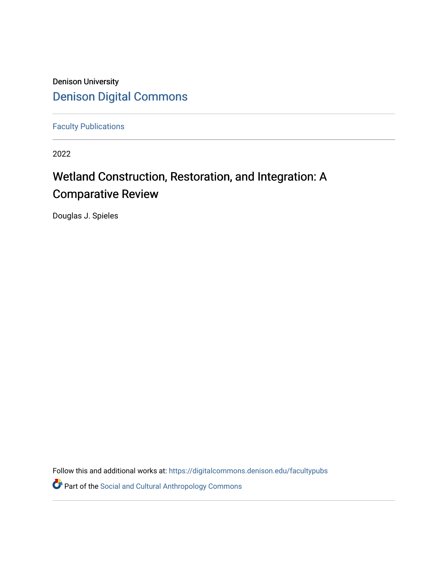Denison University [Denison Digital Commons](https://digitalcommons.denison.edu/) 

[Faculty Publications](https://digitalcommons.denison.edu/facultypubs)

2022

# Wetland Construction, Restoration, and Integration: A Comparative Review

Douglas J. Spieles

Follow this and additional works at: [https://digitalcommons.denison.edu/facultypubs](https://digitalcommons.denison.edu/facultypubs?utm_source=digitalcommons.denison.edu%2Ffacultypubs%2F1100&utm_medium=PDF&utm_campaign=PDFCoverPages)

Part of the [Social and Cultural Anthropology Commons](http://network.bepress.com/hgg/discipline/323?utm_source=digitalcommons.denison.edu%2Ffacultypubs%2F1100&utm_medium=PDF&utm_campaign=PDFCoverPages)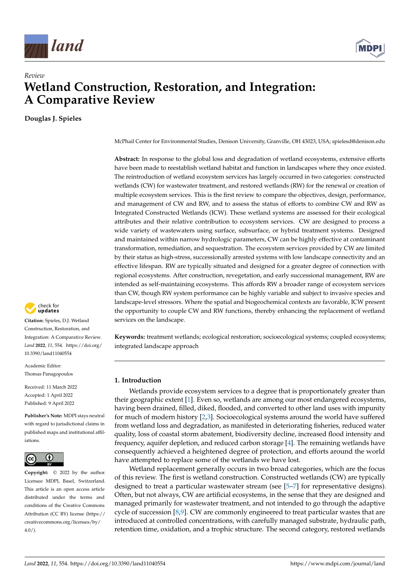

## *Review* **Wetland Construction, Restoration, and Integration: A Comparative Review**

**Douglas J. Spieles**



**Citation:** Spieles, D.J. Wetland Construction, Restoration, and Integration: A Comparative Review. *Land* **2022**, *11*, 554. [https://doi.org/](https://doi.org/10.3390/land11040554) [10.3390/land11040554](https://doi.org/10.3390/land11040554)

Academic Editor: Thomas Panagopoulos

Received: 11 March 2022 Accepted: 1 April 2022 Published: 9 April 2022

**Publisher's Note:** MDPI stays neutral with regard to jurisdictional claims in published maps and institutional affiliations.



**Copyright:** © 2022 by the author. Licensee MDPI, Basel, Switzerland. This article is an open access article distributed under the terms and conditions of the Creative Commons Attribution (CC BY) license [\(https://](https://creativecommons.org/licenses/by/4.0/) [creativecommons.org/licenses/by/](https://creativecommons.org/licenses/by/4.0/)  $4.0/$ ).

McPhail Center for Environmental Studies, Denison University, Granville, OH 43023, USA; spielesd@denison.edu

**Abstract:** In response to the global loss and degradation of wetland ecosystems, extensive efforts have been made to reestablish wetland habitat and function in landscapes where they once existed. The reintroduction of wetland ecosystem services has largely occurred in two categories: constructed wetlands (CW) for wastewater treatment, and restored wetlands (RW) for the renewal or creation of multiple ecosystem services. This is the first review to compare the objectives, design, performance, and management of CW and RW, and to assess the status of efforts to combine CW and RW as Integrated Constructed Wetlands (ICW). These wetland systems are assessed for their ecological attributes and their relative contribution to ecosystem services. CW are designed to process a wide variety of wastewaters using surface, subsurface, or hybrid treatment systems. Designed and maintained within narrow hydrologic parameters, CW can be highly effective at contaminant transformation, remediation, and sequestration. The ecosystem services provided by CW are limited by their status as high-stress, successionally arrested systems with low landscape connectivity and an effective lifespan. RW are typically situated and designed for a greater degree of connection with regional ecosystems. After construction, revegetation, and early successional management, RW are intended as self-maintaining ecosystems. This affords RW a broader range of ecosystem services than CW, though RW system performance can be highly variable and subject to invasive species and landscape-level stressors. Where the spatial and biogeochemical contexts are favorable, ICW present the opportunity to couple CW and RW functions, thereby enhancing the replacement of wetland services on the landscape.

**Keywords:** treatment wetlands; ecological restoration; socioecological systems; coupled ecosystems; integrated landscape approach

#### **1. Introduction**

Wetlands provide ecosystem services to a degree that is proportionately greater than their geographic extent [\[1\]](#page-16-0). Even so, wetlands are among our most endangered ecosystems, having been drained, filled, diked, flooded, and converted to other land uses with impunity for much of modern history [\[2](#page-16-1)[,3\]](#page-16-2). Socioecological systems around the world have suffered from wetland loss and degradation, as manifested in deteriorating fisheries, reduced water quality, loss of coastal storm abatement, biodiversity decline, increased flood intensity and frequency, aquifer depletion, and reduced carbon storage [\[4\]](#page-16-3). The remaining wetlands have consequently achieved a heightened degree of protection, and efforts around the world have attempted to replace some of the wetlands we have lost.

Wetland replacement generally occurs in two broad categories, which are the focus of this review. The first is wetland construction. Constructed wetlands (CW) are typically designed to treat a particular wastewater stream (see [\[5–](#page-16-4)[7\]](#page-16-5) for representative designs). Often, but not always, CW are artificial ecosystems, in the sense that they are designed and managed primarily for wastewater treatment, and not intended to go through the adaptive cycle of succession  $[8,9]$  $[8,9]$ . CW are commonly engineered to treat particular wastes that are introduced at controlled concentrations, with carefully managed substrate, hydraulic path, retention time, oxidation, and a trophic structure. The second category, restored wetlands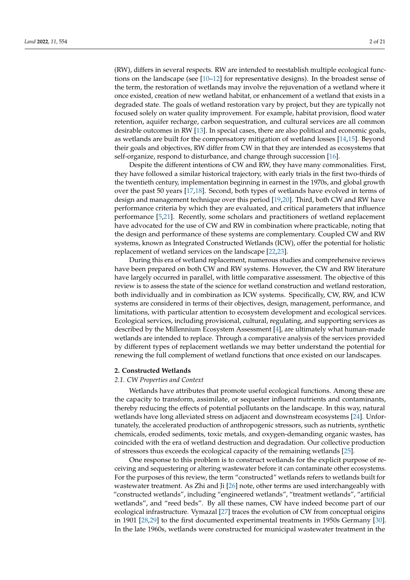(RW), differs in several respects. RW are intended to reestablish multiple ecological functions on the landscape (see [\[10](#page-16-8)[–12\]](#page-16-9) for representative designs). In the broadest sense of the term, the restoration of wetlands may involve the rejuvenation of a wetland where it once existed, creation of new wetland habitat, or enhancement of a wetland that exists in a degraded state. The goals of wetland restoration vary by project, but they are typically not focused solely on water quality improvement. For example, habitat provision, flood water retention, aquifer recharge, carbon sequestration, and cultural services are all common desirable outcomes in RW [\[13\]](#page-16-10). In special cases, there are also political and economic goals, as wetlands are built for the compensatory mitigation of wetland losses [\[14,](#page-16-11)[15\]](#page-16-12). Beyond their goals and objectives, RW differ from CW in that they are intended as ecosystems that self-organize, respond to disturbance, and change through succession [\[16\]](#page-16-13).

Despite the different intentions of CW and RW, they have many commonalities. First, they have followed a similar historical trajectory, with early trials in the first two-thirds of the twentieth century, implementation beginning in earnest in the 1970s, and global growth over the past 50 years [\[17,](#page-16-14)[18\]](#page-16-15). Second, both types of wetlands have evolved in terms of design and management technique over this period [\[19](#page-16-16)[,20\]](#page-16-17). Third, both CW and RW have performance criteria by which they are evaluated, and critical parameters that influence performance [\[5,](#page-16-4)[21\]](#page-16-18). Recently, some scholars and practitioners of wetland replacement have advocated for the use of CW and RW in combination where practicable, noting that the design and performance of these systems are complementary. Coupled CW and RW systems, known as Integrated Constructed Wetlands (ICW), offer the potential for holistic replacement of wetland services on the landscape [\[22](#page-16-19)[,23\]](#page-17-0).

During this era of wetland replacement, numerous studies and comprehensive reviews have been prepared on both CW and RW systems. However, the CW and RW literature have largely occurred in parallel, with little comparative assessment. The objective of this review is to assess the state of the science for wetland construction and wetland restoration, both individually and in combination as ICW systems. Specifically, CW, RW, and ICW systems are considered in terms of their objectives, design, management, performance, and limitations, with particular attention to ecosystem development and ecological services. Ecological services, including provisional, cultural, regulating, and supporting services as described by the Millennium Ecosystem Assessment [\[4\]](#page-16-3), are ultimately what human-made wetlands are intended to replace. Through a comparative analysis of the services provided by different types of replacement wetlands we may better understand the potential for renewing the full complement of wetland functions that once existed on our landscapes.

#### **2. Constructed Wetlands**

#### *2.1. CW Properties and Context*

Wetlands have attributes that promote useful ecological functions. Among these are the capacity to transform, assimilate, or sequester influent nutrients and contaminants, thereby reducing the effects of potential pollutants on the landscape. In this way, natural wetlands have long alleviated stress on adjacent and downstream ecosystems [\[24\]](#page-17-1). Unfortunately, the accelerated production of anthropogenic stressors, such as nutrients, synthetic chemicals, eroded sediments, toxic metals, and oxygen-demanding organic wastes, has coincided with the era of wetland destruction and degradation. Our collective production of stressors thus exceeds the ecological capacity of the remaining wetlands [\[25\]](#page-17-2).

One response to this problem is to construct wetlands for the explicit purpose of receiving and sequestering or altering wastewater before it can contaminate other ecosystems. For the purposes of this review, the term "constructed" wetlands refers to wetlands built for wastewater treatment. As Zhi and Ji [\[26\]](#page-17-3) note, other terms are used interchangeably with "constructed wetlands", including "engineered wetlands", "treatment wetlands", "artificial wetlands", and "reed beds". By all these names, CW have indeed become part of our ecological infrastructure. Vymazal [\[27\]](#page-17-4) traces the evolution of CW from conceptual origins in 1901 [\[28,](#page-17-5)[29\]](#page-17-6) to the first documented experimental treatments in 1950s Germany [\[30\]](#page-17-7). In the late 1960s, wetlands were constructed for municipal wastewater treatment in the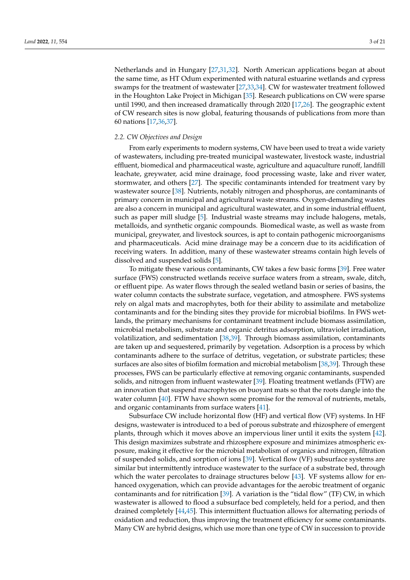Netherlands and in Hungary [\[27](#page-17-4)[,31](#page-17-8)[,32\]](#page-17-9). North American applications began at about the same time, as HT Odum experimented with natural estuarine wetlands and cypress swamps for the treatment of wastewater [\[27,](#page-17-4)[33](#page-17-10)[,34\]](#page-17-11). CW for wastewater treatment followed in the Houghton Lake Project in Michigan [\[35\]](#page-17-12). Research publications on CW were sparse until 1990, and then increased dramatically through 2020 [\[17,](#page-16-14)[26\]](#page-17-3). The geographic extent of CW research sites is now global, featuring thousands of publications from more than 60 nations [\[17](#page-16-14)[,36](#page-17-13)[,37\]](#page-17-14).

#### *2.2. CW Objectives and Design*

From early experiments to modern systems, CW have been used to treat a wide variety of wastewaters, including pre-treated municipal wastewater, livestock waste, industrial effluent, biomedical and pharmaceutical waste, agriculture and aquaculture runoff, landfill leachate, greywater, acid mine drainage, food processing waste, lake and river water, stormwater, and others [\[27\]](#page-17-4). The specific contaminants intended for treatment vary by wastewater source [\[38\]](#page-17-15). Nutrients, notably nitrogen and phosphorus, are contaminants of primary concern in municipal and agricultural waste streams. Oxygen-demanding wastes are also a concern in municipal and agricultural wastewater, and in some industrial effluent, such as paper mill sludge [\[5\]](#page-16-4). Industrial waste streams may include halogens, metals, metalloids, and synthetic organic compounds. Biomedical waste, as well as waste from municipal, greywater, and livestock sources, is apt to contain pathogenic microorganisms and pharmaceuticals. Acid mine drainage may be a concern due to its acidification of receiving waters. In addition, many of these wastewater streams contain high levels of dissolved and suspended solids [\[5\]](#page-16-4).

To mitigate these various contaminants, CW takes a few basic forms [\[39\]](#page-17-16). Free water surface (FWS) constructed wetlands receive surface waters from a stream, swale, ditch, or effluent pipe. As water flows through the sealed wetland basin or series of basins, the water column contacts the substrate surface, vegetation, and atmosphere. FWS systems rely on algal mats and macrophytes, both for their ability to assimilate and metabolize contaminants and for the binding sites they provide for microbial biofilms. In FWS wetlands, the primary mechanisms for contaminant treatment include biomass assimilation, microbial metabolism, substrate and organic detritus adsorption, ultraviolet irradiation, volatilization, and sedimentation [\[38](#page-17-15)[,39\]](#page-17-16). Through biomass assimilation, contaminants are taken up and sequestered, primarily by vegetation. Adsorption is a process by which contaminants adhere to the surface of detritus, vegetation, or substrate particles; these surfaces are also sites of biofilm formation and microbial metabolism [\[38](#page-17-15)[,39\]](#page-17-16). Through these processes, FWS can be particularly effective at removing organic contaminants, suspended solids, and nitrogen from influent wastewater [\[39\]](#page-17-16). Floating treatment wetlands (FTW) are an innovation that suspend macrophytes on buoyant mats so that the roots dangle into the water column [\[40\]](#page-17-17). FTW have shown some promise for the removal of nutrients, metals, and organic contaminants from surface waters [\[41\]](#page-17-18).

Subsurface CW include horizontal flow (HF) and vertical flow (VF) systems. In HF designs, wastewater is introduced to a bed of porous substrate and rhizosphere of emergent plants, through which it moves above an impervious liner until it exits the system [\[42\]](#page-17-19). This design maximizes substrate and rhizosphere exposure and minimizes atmospheric exposure, making it effective for the microbial metabolism of organics and nitrogen, filtration of suspended solids, and sorption of ions [\[39\]](#page-17-16). Vertical flow (VF) subsurface systems are similar but intermittently introduce wastewater to the surface of a substrate bed, through which the water percolates to drainage structures below [\[43\]](#page-17-20). VF systems allow for enhanced oxygenation, which can provide advantages for the aerobic treatment of organic contaminants and for nitrification [\[39\]](#page-17-16). A variation is the "tidal flow" (TF) CW, in which wastewater is allowed to flood a subsurface bed completely, held for a period, and then drained completely [\[44](#page-17-21)[,45\]](#page-17-22). This intermittent fluctuation allows for alternating periods of oxidation and reduction, thus improving the treatment efficiency for some contaminants. Many CW are hybrid designs, which use more than one type of CW in succession to provide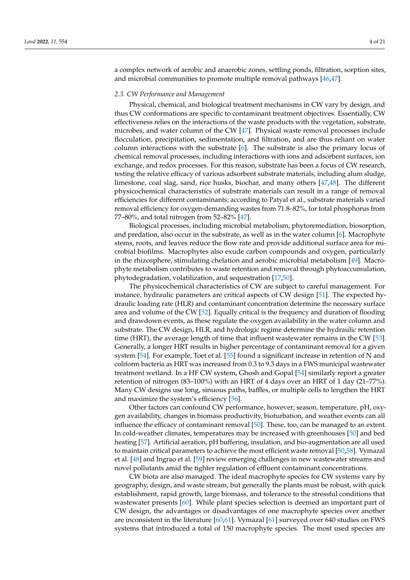a complex network of aerobic and anaerobic zones, settling ponds, filtration, sorption sites, and microbial communities to promote multiple removal pathways [\[46](#page-17-23)[,47\]](#page-17-24).

#### *2.3. CW Performance and Management*

Physical, chemical, and biological treatment mechanisms in CW vary by design, and thus CW conformations are specific to contaminant treatment objectives. Essentially, CW effectiveness relies on the interactions of the waste products with the vegetation, substrate, microbes, and water column of the CW [\[47\]](#page-17-24). Physical waste removal processes include flocculation, precipitation, sedimentation, and filtration, and are thus reliant on water column interactions with the substrate  $[6]$ . The substrate is also the primary locus of chemical removal processes, including interactions with ions and adsorbent surfaces, ion exchange, and redox processes. For this reason, substrate has been a focus of CW research, testing the relative efficacy of various adsorbent substrate materials, including alum sludge, limestone, coal slag, sand, rice husks, biochar, and many others [\[47](#page-17-24)[,48\]](#page-17-25). The different physicochemical characteristics of substrate materials can result in a range of removal efficiencies for different contaminants; according to Patyal et al., substrate materials varied removal efficiency for oxygen-demanding wastes from 71.8–82%, for total phosphorus from 77–80%, and total nitrogen from 52–82% [\[47\]](#page-17-24).

Biological processes, including microbial metabolism, phytoremediation, biosorption, and predation, also occur in the substrate, as well as in the water column [\[6\]](#page-16-20). Macrophyte stems, roots, and leaves reduce the flow rate and provide additional surface area for microbial biofilms. Macrophytes also exude carbon compounds and oxygen, particularly in the rhizosphere, stimulating chelation and aerobic microbial metabolism [\[49\]](#page-17-26). Macrophyte metabolism contributes to waste retention and removal through phytoaccumulation, phytodegradation, volatilization, and sequestration [\[17](#page-16-14)[,50\]](#page-17-27).

The physicochemical characteristics of CW are subject to careful management. For instance, hydraulic parameters are critical aspects of CW design [\[51\]](#page-17-28). The expected hydraulic loading rate (HLR) and contaminant concentration determine the necessary surface area and volume of the CW [\[52\]](#page-18-0). Equally critical is the frequency and duration of flooding and drawdown events, as these regulate the oxygen availability in the water column and substrate. The CW design, HLR, and hydrologic regime determine the hydraulic retention time (HRT), the average length of time that influent wastewater remains in the CW [\[53\]](#page-18-1). Generally, a longer HRT results in higher percentage of contaminant removal for a given system [\[54\]](#page-18-2). For example, Toet et al. [\[55\]](#page-18-3) found a significant increase in retention of N and coliform bacteria as HRT was increased from 0.3 to 9.3 days in a FWS municipal wastewater treatment wetland. In a HF CW system, Ghosh and Gopal [\[54\]](#page-18-2) similarly report a greater retention of nitrogen (83–100%) with an HRT of 4 days over an HRT of 1 day (21–77%). Many CW designs use long, sinuous paths, baffles, or multiple cells to lengthen the HRT and maximize the system's efficiency [\[56\]](#page-18-4).

Other factors can confound CW performance, however; season, temperature, pH, oxygen availability, changes in biomass productivity, bioturbation, and weather events can all influence the efficacy of contaminant removal [\[50\]](#page-17-27). These, too, can be managed to an extent. In cold-weather climates, temperatures may be increased with greenhouses [\[50\]](#page-17-27) and bed heating [\[57\]](#page-18-5). Artificial aeration, pH buffering, insulation, and bio-augmentation are all used to maintain critical parameters to achieve the most efficient waste removal [\[50](#page-17-27)[,58\]](#page-18-6). Vymazal et al. [\[48\]](#page-17-25) and Ingrao et al. [\[59\]](#page-18-7) review emerging challenges in new wastewater streams and novel pollutants amid the tighter regulation of effluent contaminant concentrations.

CW biota are also managed. The ideal macrophyte species for CW systems vary by geography, design, and waste stream, but generally the plants must be robust, with quick establishment, rapid growth, large biomass, and tolerance to the stressful conditions that wastewater presents [\[60\]](#page-18-8). While plant species selection is deemed an important part of CW design, the advantages or disadvantages of one macrophyte species over another are inconsistent in the literature [\[60](#page-18-8)[,61\]](#page-18-9). Vymazal [\[61\]](#page-18-9) surveyed over 640 studies on FWS systems that introduced a total of 150 macrophyte species. The most used species are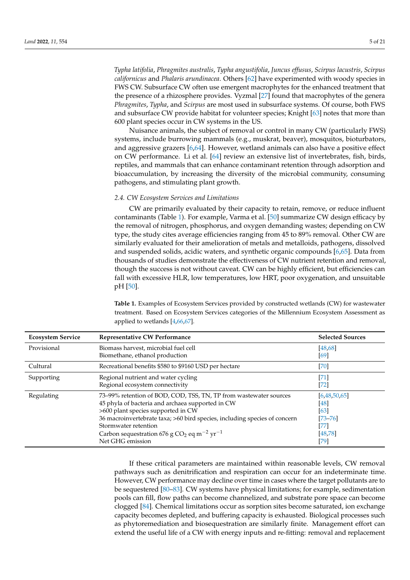*Typha latifolia*, *Phragmites australis*, *Typha angustifolia*, *Juncus effusus*, *Scirpus lacustris*, *Scirpus californicus* and *Phalaris arundinacea*. Others [\[62\]](#page-18-10) have experimented with woody species in FWS CW. Subsurface CW often use emergent macrophytes for the enhanced treatment that the presence of a rhizosphere provides. Vyzmal [\[27\]](#page-17-4) found that macrophytes of the genera *Phragmites*, *Typha*, and *Scirpus* are most used in subsurface systems. Of course, both FWS and subsurface CW provide habitat for volunteer species; Knight [\[63\]](#page-18-11) notes that more than 600 plant species occur in CW systems in the US.

Nuisance animals, the subject of removal or control in many CW (particularly FWS) systems, include burrowing mammals (e.g., muskrat, beaver), mosquitos, bioturbators, and aggressive grazers [\[6,](#page-16-20)[64\]](#page-18-12). However, wetland animals can also have a positive effect on CW performance. Li et al. [\[64\]](#page-18-12) review an extensive list of invertebrates, fish, birds, reptiles, and mammals that can enhance contaminant retention through adsorption and bioaccumulation, by increasing the diversity of the microbial community, consuming pathogens, and stimulating plant growth.

#### *2.4. CW Ecosystem Services and Limitations*

CW are primarily evaluated by their capacity to retain, remove, or reduce influent contaminants (Table [1\)](#page-5-0). For example, Varma et al. [\[50\]](#page-17-27) summarize CW design efficacy by the removal of nitrogen, phosphorus, and oxygen demanding wastes; depending on CW type, the study cites average efficiencies ranging from 45 to 89% removal. Other CW are similarly evaluated for their amelioration of metals and metalloids, pathogens, dissolved and suspended solids, acidic waters, and synthetic organic compounds [\[6,](#page-16-20)[65\]](#page-18-13). Data from thousands of studies demonstrate the effectiveness of CW nutrient retention and removal, though the success is not without caveat. CW can be highly efficient, but efficiencies can fall with excessive HLR, low temperatures, low HRT, poor oxygenation, and unsuitable pH [\[50\]](#page-17-27).

<span id="page-5-0"></span>**Table 1.** Examples of Ecosystem Services provided by constructed wetlands (CW) for wastewater treatment. Based on Ecosystem Services categories of the Millennium Ecosystem Assessment as applied to wetlands [\[4](#page-16-3)[,66](#page-18-14)[,67\]](#page-18-15).

| <b>Ecosystem Service</b> | <b>Representative CW Performance</b>                                                                                                                                                                                                                                                                                                                            | <b>Selected Sources</b>                                                 |
|--------------------------|-----------------------------------------------------------------------------------------------------------------------------------------------------------------------------------------------------------------------------------------------------------------------------------------------------------------------------------------------------------------|-------------------------------------------------------------------------|
| Provisional              | Biomass harvest, microbial fuel cell<br>Biomethane, ethanol production                                                                                                                                                                                                                                                                                          | [48, 68]<br>[69]                                                        |
| Cultural                 | Recreational benefits \$580 to \$9160 USD per hectare                                                                                                                                                                                                                                                                                                           | [70]                                                                    |
| Supporting               | Regional nutrient and water cycling<br>Regional ecosystem connectivity                                                                                                                                                                                                                                                                                          | $[71]$<br>$[72]$                                                        |
| Regulating               | 73–99% retention of BOD, COD, TSS, TN, TP from wastewater sources<br>45 phyla of bacteria and archaea supported in CW<br>>600 plant species supported in CW<br>36 macroinvertebrate taxa; >60 bird species, including species of concern<br>Stormwater retention<br>Carbon sequestration 676 g CO <sub>2</sub> eq m <sup>-2</sup> $yr^{-1}$<br>Net GHG emission | [6,48,50,65]<br>[48]<br>[63]<br>$[73 - 76]$<br>[77]<br>[48, 78]<br>[79] |

If these critical parameters are maintained within reasonable levels, CW removal pathways such as denitrification and respiration can occur for an indeterminate time. However, CW performance may decline over time in cases where the target pollutants are to be sequestered [\[80](#page-18-26)[–83\]](#page-19-0). CW systems have physical limitations; for example, sedimentation pools can fill, flow paths can become channelized, and substrate pore space can become clogged [\[84\]](#page-19-1). Chemical limitations occur as sorption sites become saturated, ion exchange capacity becomes depleted, and buffering capacity is exhausted. Biological processes such as phytoremediation and biosequestration are similarly finite. Management effort can extend the useful life of a CW with energy inputs and re-fitting: removal and replacement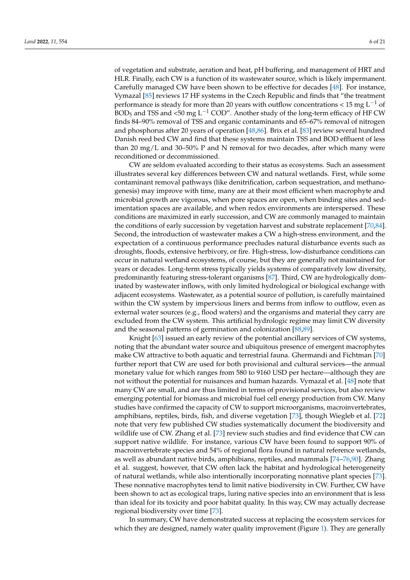of vegetation and substrate, aeration and heat, pH buffering, and management of HRT and HLR. Finally, each CW is a function of its wastewater source, which is likely impermanent. Carefully managed CW have been shown to be effective for decades [\[48\]](#page-17-25). For instance, Vymazal [\[85\]](#page-19-2) reviews 17 HF systems in the Czech Republic and finds that "the treatment performance is steady for more than 20 years with outflow concentrations < 15 mg  $L^{-1}$  of BOD<sub>5</sub> and TSS and <50 mg L<sup>-1</sup> COD". Another study of the long-term efficacy of HF CW finds 84–90% removal of TSS and organic contaminants and 65–67% removal of nitrogen and phosphorus after 20 years of operation [\[48](#page-17-25)[,86\]](#page-19-3). Brix et al. [\[83\]](#page-19-0) review several hundred Danish reed bed CW and find that these systems maintain TSS and BOD effluent of less than 20 mg/L and 30–50% P and N removal for two decades, after which many were reconditioned or decommissioned.

CW are seldom evaluated according to their status as ecosystems. Such an assessment illustrates several key differences between CW and natural wetlands. First, while some contaminant removal pathways (like denitrification, carbon sequestration, and methanogenesis) may improve with time, many are at their most efficient when macrophyte and microbial growth are vigorous, when pore spaces are open, when binding sites and sedimentation spaces are available, and when redox environments are interspersed. These conditions are maximized in early succession, and CW are commonly managed to maintain the conditions of early succession by vegetation harvest and substrate replacement [\[70](#page-18-18)[,84\]](#page-19-1). Second, the introduction of wastewater makes a CW a high-stress environment, and the expectation of a continuous performance precludes natural disturbance events such as droughts, floods, extensive herbivory, or fire. High-stress, low-disturbance conditions can occur in natural wetland ecosystems, of course, but they are generally not maintained for years or decades. Long-term stress typically yields systems of comparatively low diversity, predominantly featuring stress-tolerant organisms [\[87\]](#page-19-4). Third, CW are hydrologically dominated by wastewater inflows, with only limited hydrological or biological exchange with adjacent ecosystems. Wastewater, as a potential source of pollution, is carefully maintained within the CW system by impervious liners and berms from inflow to outflow, even as external water sources (e.g., flood waters) and the organisms and material they carry are excluded from the CW system. This artificial hydrologic regime may limit CW diversity and the seasonal patterns of germination and colonization [\[88](#page-19-5)[,89\]](#page-19-6).

Knight [\[63\]](#page-18-11) issued an early review of the potential ancillary services of CW systems, noting that the abundant water source and ubiquitous presence of emergent macrophytes make CW attractive to both aquatic and terrestrial fauna. Ghermandi and Fichtman [\[70\]](#page-18-18) further report that CW are used for both provisional and cultural services—the annual monetary value for which ranges from 580 to 9160 USD per hectare—although they are not without the potential for nuisances and human hazards. Vymazal et al. [\[48\]](#page-17-25) note that many CW are small, and are thus limited in terms of provisional services, but also review emerging potential for biomass and microbial fuel cell energy production from CW. Many studies have confirmed the capacity of CW to support microorganisms, macroinvertebrates, amphibians, reptiles, birds, fish, and diverse vegetation [\[73\]](#page-18-21), though Wiegleb et al. [\[72\]](#page-18-20) note that very few published CW studies systematically document the biodiversity and wildlife use of CW. Zhang et al. [\[73\]](#page-18-21) review such studies and find evidence that CW can support native wildlife. For instance, various CW have been found to support 90% of macroinvertebrate species and 54% of regional flora found in natural reference wetlands, as well as abundant native birds, amphibians, reptiles, and mammals [\[74](#page-18-27)[–76,](#page-18-22)[90\]](#page-19-7). Zhang et al. suggest, however, that CW often lack the habitat and hydrological heterogeneity of natural wetlands, while also intentionally incorporating nonnative plant species [\[73\]](#page-18-21). These nonnative macrophytes tend to limit native biodiversity in CW. Further, CW have been shown to act as ecological traps, luring native species into an environment that is less than ideal for its toxicity and poor habitat quality. In this way, CW may actually decrease regional biodiversity over time [\[73\]](#page-18-21).

In summary, CW have demonstrated success at replacing the ecosystem services for which they are designed, namely water quality improvement (Figure [1\)](#page-7-0). They are generally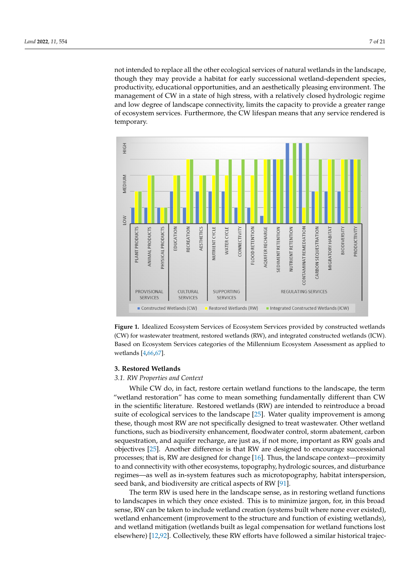not intended to replace all the other ecological services of natural wetlands in the landscape, though they may provide a habitat for early successional wetland-dependent species, productivity, educational opportunities, and an aesthetically pleasing environment. The management of CW in a state of high stress, with a relatively closed hydrologic regime and low degree of landscape connectivity, limits the capacity to provide a greater range of ecosystem services. Furthermore, the CW lifespan means that any service rendered is temporary.

<span id="page-7-0"></span>

Figure 1. Idealized Ecosystem Services of Ecosystem Services provided by constructed wetlands (CW) for wastewater treatment, restored wetlands (RW), and integrated constructed wetlands (ICW).  $\sim$  Ecosystem Services categories of the Millennium Ecosystem Assessment as a property  $\sim$  1.1. Based on Ecosystem Services categories of the Millennium Ecosystem Assessment as applied to wetlands [\[4](#page-16-3)[,66](#page-18-14)[,67\]](#page-18-15).

## **3. Restored Wetlands 3. Restored Wetlands**

### *3.1. RW Properties and Context 3.1. RW Properties and Context*

While CW do, in fact, restore certain wetland functions to the landscape, the term "wetland restoration" has come to mean something fundamentally different than CW in the scientific literature. Restored wetlands (RW) are intended to reintroduce a broad suite of ecological services to the landscape [\[25\]](#page-17-2). Water quality improvement is among these, though most RW are not specifically designed to treat wastewater. Other wetland sity enhancement, floodwater control, storm abatement, carbon sequestration, and aquifer re-functions, such as biodiversity enhancement, floodwater control, storm abatement, carbon equestration, and aquifer recharge, are just as, if not more, important as RW goals and sequestration, and aquifer recharge, are just as, if not more, important as RW goals and is that RW are designed to encourage successional processes; that is, RW are designed for objectives [\[25\]](#page-17-2). Another difference is that RW are designed to encourage successional processes; that is, RW are designed for change [\[16\]](#page-16-13). Thus, the landscape context—proximity processes; that is, RW are designed for change [16]. Thus, the landscape context—proximity processes, that is, two are designed for enarge [10]. Thus, the landscape context proximity to and connectivity with other ecosystems, topography, hydrologic sources, and disturbance regimes—as well as in-system features such as microtopography, habitat interspersion, regards as went as in system reduces such as interesting seed bank, and biodiversity are critical aspects of RW [\[91\]](#page-19-8).

The term RW is used here in the landscape sense, as in restoring wetland functions to landscapes in which they once existed. This is to minimize jargon, for, in this broad can be taken to include wetland creation (systems built where none ever existed), sense, RW can be taken to include wetland creation (systems built where none ever existed), bende, KW can be taken to increase weiling creation (by bienis bain where none ever existed), wetland enhancement (improvement to the structure and function of existing wetlands), metallite chalacteristic (improvement to the structure and ranchor or existing weithings), and wetland mitigation (wetlands built as legal compensation for wetland functions lost  $\mathbf{C}$  collectively, these RW efforts have  $\mathbf{C}$  and  $\mathbf{C}$  and  $\mathbf{C}$  trajectory to CW. While in- $\mathbf{C}$  in- $\mathbf{C}$  in- $\mathbf{C}$  in- $\mathbf{C}$  in- $\mathbf{C}$  in- $\mathbf{C}$  in- $\mathbf{C}$  in- $\mathbf{C}$  in- $\mathbf{C}$  in- $\mathbf{C$ elsewhere) [\[12](#page-16-9)[,92\]](#page-19-9). Collectively, these RW efforts have followed a similar historical trajec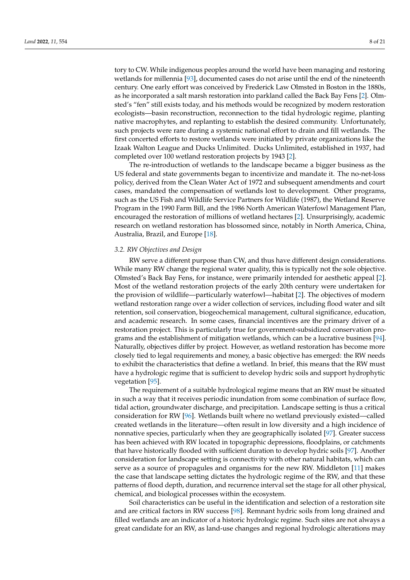tory to CW. While indigenous peoples around the world have been managing and restoring wetlands for millennia [\[93\]](#page-19-10), documented cases do not arise until the end of the nineteenth century. One early effort was conceived by Frederick Law Olmsted in Boston in the 1880s, as he incorporated a salt marsh restoration into parkland called the Back Bay Fens [\[2\]](#page-16-1). Olmsted's "fen" still exists today, and his methods would be recognized by modern restoration ecologists—basin reconstruction, reconnection to the tidal hydrologic regime, planting native macrophytes, and replanting to establish the desired community. Unfortunately, such projects were rare during a systemic national effort to drain and fill wetlands. The first concerted efforts to restore wetlands were initiated by private organizations like the Izaak Walton League and Ducks Unlimited. Ducks Unlimited, established in 1937, had completed over 100 wetland restoration projects by 1943 [\[2\]](#page-16-1).

The re-introduction of wetlands to the landscape became a bigger business as the US federal and state governments began to incentivize and mandate it. The no-net-loss policy, derived from the Clean Water Act of 1972 and subsequent amendments and court cases, mandated the compensation of wetlands lost to development. Other programs, such as the US Fish and Wildlife Service Partners for Wildlife (1987), the Wetland Reserve Program in the 1990 Farm Bill, and the 1986 North American Waterfowl Management Plan, encouraged the restoration of millions of wetland hectares [\[2\]](#page-16-1). Unsurprisingly, academic research on wetland restoration has blossomed since, notably in North America, China, Australia, Brazil, and Europe [\[18\]](#page-16-15).

#### *3.2. RW Objectives and Design*

RW serve a different purpose than CW, and thus have different design considerations. While many RW change the regional water quality, this is typically not the sole objective. Olmsted's Back Bay Fens, for instance, were primarily intended for aesthetic appeal [\[2\]](#page-16-1). Most of the wetland restoration projects of the early 20th century were undertaken for the provision of wildlife—particularly waterfowl—habitat [\[2\]](#page-16-1). The objectives of modern wetland restoration range over a wider collection of services, including flood water and silt retention, soil conservation, biogeochemical management, cultural significance, education, and academic research. In some cases, financial incentives are the primary driver of a restoration project. This is particularly true for government-subsidized conservation programs and the establishment of mitigation wetlands, which can be a lucrative business [\[94\]](#page-19-11). Naturally, objectives differ by project. However, as wetland restoration has become more closely tied to legal requirements and money, a basic objective has emerged: the RW needs to exhibit the characteristics that define a wetland. In brief, this means that the RW must have a hydrologic regime that is sufficient to develop hydric soils and support hydrophytic vegetation [\[95\]](#page-19-12).

The requirement of a suitable hydrological regime means that an RW must be situated in such a way that it receives periodic inundation from some combination of surface flow, tidal action, groundwater discharge, and precipitation. Landscape setting is thus a critical consideration for RW [\[96\]](#page-19-13). Wetlands built where no wetland previously existed—called created wetlands in the literature—often result in low diversity and a high incidence of nonnative species, particularly when they are geographically isolated [\[97\]](#page-19-14). Greater success has been achieved with RW located in topographic depressions, floodplains, or catchments that have historically flooded with sufficient duration to develop hydric soils [\[97\]](#page-19-14). Another consideration for landscape setting is connectivity with other natural habitats, which can serve as a source of propagules and organisms for the new RW. Middleton [\[11\]](#page-16-21) makes the case that landscape setting dictates the hydrologic regime of the RW, and that these patterns of flood depth, duration, and recurrence interval set the stage for all other physical, chemical, and biological processes within the ecosystem.

Soil characteristics can be useful in the identification and selection of a restoration site and are critical factors in RW success [\[98\]](#page-19-15). Remnant hydric soils from long drained and filled wetlands are an indicator of a historic hydrologic regime. Such sites are not always a great candidate for an RW, as land-use changes and regional hydrologic alterations may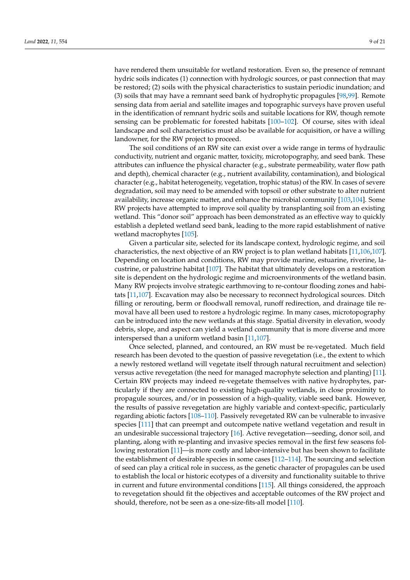have rendered them unsuitable for wetland restoration. Even so, the presence of remnant hydric soils indicates (1) connection with hydrologic sources, or past connection that may be restored; (2) soils with the physical characteristics to sustain periodic inundation; and (3) soils that may have a remnant seed bank of hydrophytic propagules [\[98](#page-19-15)[,99\]](#page-19-16). Remote sensing data from aerial and satellite images and topographic surveys have proven useful in the identification of remnant hydric soils and suitable locations for RW, though remote sensing can be problematic for forested habitats [\[100](#page-19-17)[–102\]](#page-19-18). Of course, sites with ideal landscape and soil characteristics must also be available for acquisition, or have a willing landowner, for the RW project to proceed.

The soil conditions of an RW site can exist over a wide range in terms of hydraulic conductivity, nutrient and organic matter, toxicity, microtopography, and seed bank. These attributes can influence the physical character (e.g., substrate permeability, water flow path and depth), chemical character (e.g., nutrient availability, contamination), and biological character (e.g., habitat heterogeneity, vegetation, trophic status) of the RW. In cases of severe degradation, soil may need to be amended with topsoil or other substrate to alter nutrient availability, increase organic matter, and enhance the microbial community [\[103](#page-19-19)[,104\]](#page-19-20). Some RW projects have attempted to improve soil quality by transplanting soil from an existing wetland. This "donor soil" approach has been demonstrated as an effective way to quickly establish a depleted wetland seed bank, leading to the more rapid establishment of native wetland macrophytes [\[105\]](#page-19-21).

Given a particular site, selected for its landscape context, hydrologic regime, and soil characteristics, the next objective of an RW project is to plan wetland habitats [\[11](#page-16-21)[,106](#page-19-22)[,107\]](#page-19-23). Depending on location and conditions, RW may provide marine, estuarine, riverine, lacustrine, or palustrine habitat [\[107\]](#page-19-23). The habitat that ultimately develops on a restoration site is dependent on the hydrologic regime and microenvironments of the wetland basin. Many RW projects involve strategic earthmoving to re-contour flooding zones and habitats [\[11](#page-16-21)[,107\]](#page-19-23). Excavation may also be necessary to reconnect hydrological sources. Ditch filling or rerouting, berm or floodwall removal, runoff redirection, and drainage tile removal have all been used to restore a hydrologic regime. In many cases, microtopography can be introduced into the new wetlands at this stage. Spatial diversity in elevation, woody debris, slope, and aspect can yield a wetland community that is more diverse and more interspersed than a uniform wetland basin [\[11](#page-16-21)[,107\]](#page-19-23).

Once selected, planned, and contoured, an RW must be re-vegetated. Much field research has been devoted to the question of passive revegetation (i.e., the extent to which a newly restored wetland will vegetate itself through natural recruitment and selection) versus active revegetation (the need for managed macrophyte selection and planting) [\[11\]](#page-16-21). Certain RW projects may indeed re-vegetate themselves with native hydrophytes, particularly if they are connected to existing high-quality wetlands, in close proximity to propagule sources, and/or in possession of a high-quality, viable seed bank. However, the results of passive revegetation are highly variable and context-specific, particularly regarding abiotic factors [\[108–](#page-19-24)[110\]](#page-20-0). Passively revegetated RW can be vulnerable to invasive species [\[111\]](#page-20-1) that can preempt and outcompete native wetland vegetation and result in an undesirable successional trajectory [\[16\]](#page-16-13). Active revegetation—seeding, donor soil, and planting, along with re-planting and invasive species removal in the first few seasons following restoration [\[11\]](#page-16-21)—is more costly and labor-intensive but has been shown to facilitate the establishment of desirable species in some cases [\[112](#page-20-2)[–114\]](#page-20-3). The sourcing and selection of seed can play a critical role in success, as the genetic character of propagules can be used to establish the local or historic ecotypes of a diversity and functionality suitable to thrive in current and future environmental conditions [\[115\]](#page-20-4). All things considered, the approach to revegetation should fit the objectives and acceptable outcomes of the RW project and should, therefore, not be seen as a one-size-fits-all model [\[110\]](#page-20-0).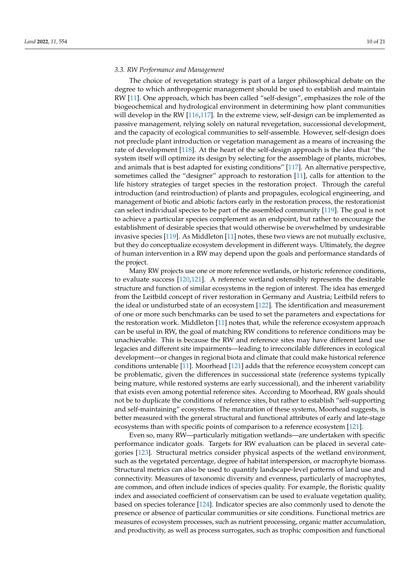#### *3.3. RW Performance and Management*

The choice of revegetation strategy is part of a larger philosophical debate on the degree to which anthropogenic management should be used to establish and maintain RW [\[11\]](#page-16-21). One approach, which has been called "self-design", emphasizes the role of the biogeochemical and hydrological environment in determining how plant communities will develop in the RW [\[116,](#page-20-5)[117\]](#page-20-6). In the extreme view, self-design can be implemented as passive management, relying solely on natural revegetation, successional development, and the capacity of ecological communities to self-assemble. However, self-design does not preclude plant introduction or vegetation management as a means of increasing the rate of development [\[118\]](#page-20-7). At the heart of the self-design approach is the idea that "the system itself will optimize its design by selecting for the assemblage of plants, microbes, and animals that is best adapted for existing conditions" [\[117\]](#page-20-6). An alternative perspective, sometimes called the "designer" approach to restoration [\[11\]](#page-16-21), calls for attention to the life history strategies of target species in the restoration project. Through the careful introduction (and reintroduction) of plants and propagules, ecological engineering, and management of biotic and abiotic factors early in the restoration process, the restorationist can select individual species to be part of the assembled community [\[119\]](#page-20-8). The goal is not to achieve a particular species complement as an endpoint, but rather to encourage the establishment of desirable species that would otherwise be overwhelmed by undesirable invasive species [\[119\]](#page-20-8). As Middleton [\[11\]](#page-16-21) notes, these two views are not mutually exclusive, but they do conceptualize ecosystem development in different ways. Ultimately, the degree of human intervention in a RW may depend upon the goals and performance standards of the project.

Many RW projects use one or more reference wetlands, or historic reference conditions, to evaluate success [\[120](#page-20-9)[,121\]](#page-20-10). A reference wetland ostensibly represents the desirable structure and function of similar ecosystems in the region of interest. The idea has emerged from the Leitbild concept of river restoration in Germany and Austria; Leitbild refers to the ideal or undisturbed state of an ecosystem [\[122\]](#page-20-11). The identification and measurement of one or more such benchmarks can be used to set the parameters and expectations for the restoration work. Middleton [\[11\]](#page-16-21) notes that, while the reference ecosystem approach can be useful in RW, the goal of matching RW conditions to reference conditions may be unachievable. This is because the RW and reference sites may have different land use legacies and different site impairments—leading to irreconcilable differences in ecological development—or changes in regional biota and climate that could make historical reference conditions untenable [\[11\]](#page-16-21). Moorhead [\[121\]](#page-20-10) adds that the reference ecosystem concept can be problematic, given the differences in successional state (reference systems typically being mature, while restored systems are early successional), and the inherent variability that exists even among potential reference sites. According to Moorhead, RW goals should not be to duplicate the conditions of reference sites, but rather to establish "self-supporting and self-maintaining" ecosystems. The maturation of these systems, Moorhead suggests, is better measured with the general structural and functional attributes of early and late-stage ecosystems than with specific points of comparison to a reference ecosystem [\[121\]](#page-20-10).

Even so, many RW—particularly mitigation wetlands—are undertaken with specific performance indicator goals. Targets for RW evaluation can be placed in several categories [\[123\]](#page-20-12). Structural metrics consider physical aspects of the wetland environment, such as the vegetated percentage, degree of habitat interspersion, or macrophyte biomass. Structural metrics can also be used to quantify landscape-level patterns of land use and connectivity. Measures of taxonomic diversity and evenness, particularly of macrophytes, are common, and often include indices of species quality. For example, the floristic quality index and associated coefficient of conservatism can be used to evaluate vegetation quality, based on species tolerance [\[124\]](#page-20-13). Indicator species are also commonly used to denote the presence or absence of particular communities or site conditions. Functional metrics are measures of ecosystem processes, such as nutrient processing, organic matter accumulation, and productivity, as well as process surrogates, such as trophic composition and functional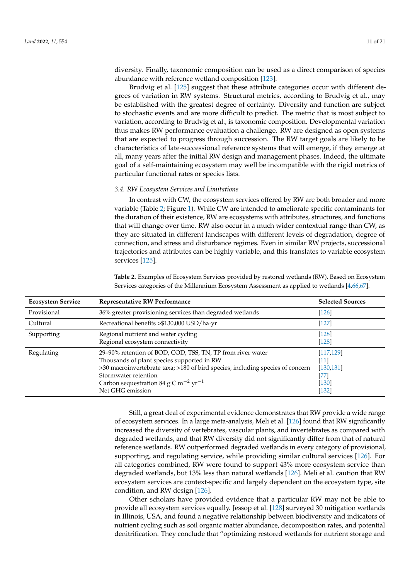diversity. Finally, taxonomic composition can be used as a direct comparison of species abundance with reference wetland composition [\[123\]](#page-20-12).

Brudvig et al. [\[125\]](#page-20-14) suggest that these attribute categories occur with different degrees of variation in RW systems. Structural metrics, according to Brudvig et al., may be established with the greatest degree of certainty. Diversity and function are subject to stochastic events and are more difficult to predict. The metric that is most subject to variation, according to Brudvig et al., is taxonomic composition. Developmental variation thus makes RW performance evaluation a challenge. RW are designed as open systems that are expected to progress through succession. The RW target goals are likely to be characteristics of late-successional reference systems that will emerge, if they emerge at all, many years after the initial RW design and management phases. Indeed, the ultimate goal of a self-maintaining ecosystem may well be incompatible with the rigid metrics of particular functional rates or species lists.

#### *3.4. RW Ecosystem Services and Limitations*

In contrast with CW, the ecosystem services offered by RW are both broader and more variable (Table [2;](#page-11-0) Figure [1\)](#page-7-0). While CW are intended to ameliorate specific contaminants for the duration of their existence, RW are ecosystems with attributes, structures, and functions that will change over time. RW also occur in a much wider contextual range than CW, as they are situated in different landscapes with different levels of degradation, degree of connection, and stress and disturbance regimes. Even in similar RW projects, successional trajectories and attributes can be highly variable, and this translates to variable ecosystem services [\[125\]](#page-20-14).

<span id="page-11-0"></span>**Table 2.** Examples of Ecosystem Services provided by restored wetlands (RW). Based on Ecosystem Services categories of the Millennium Ecosystem Assessment as applied to wetlands [\[4](#page-16-3)[,66,](#page-18-14)[67\]](#page-18-15).

| <b>Ecosystem Service</b> | <b>Representative RW Performance</b>                                                                                                                                                                                                                                                                   | <b>Selected Sources</b>                                       |
|--------------------------|--------------------------------------------------------------------------------------------------------------------------------------------------------------------------------------------------------------------------------------------------------------------------------------------------------|---------------------------------------------------------------|
| Provisional              | 36% greater provisioning services than degraded wetlands                                                                                                                                                                                                                                               | [126]                                                         |
| Cultural                 | Recreational benefits >\$130,000 USD/ha·yr                                                                                                                                                                                                                                                             | $[127]$                                                       |
| Supporting               | Regional nutrient and water cycling<br>Regional ecosystem connectivity                                                                                                                                                                                                                                 | $[128]$<br>$[128]$                                            |
| Regulating               | 29-90% retention of BOD, COD, TSS, TN, TP from river water<br>Thousands of plant species supported in RW<br>>30 macroinvertebrate taxa; >180 of bird species, including species of concern<br>Stormwater retention<br>Carbon sequestration 84 g C m <sup>-2</sup> yr <sup>-1</sup><br>Net GHG emission | [117, 129]<br>[11]<br>[130, 131]<br>771<br>$[130]$<br>$[132]$ |

Still, a great deal of experimental evidence demonstrates that RW provide a wide range of ecosystem services. In a large meta-analysis, Meli et al. [\[126\]](#page-20-15) found that RW significantly increased the diversity of vertebrates, vascular plants, and invertebrates as compared with degraded wetlands, and that RW diversity did not significantly differ from that of natural reference wetlands. RW outperformed degraded wetlands in every category of provisional, supporting, and regulating service, while providing similar cultural services [\[126\]](#page-20-15). For all categories combined, RW were found to support 43% more ecosystem service than degraded wetlands, but 13% less than natural wetlands [\[126\]](#page-20-15). Meli et al. caution that RW ecosystem services are context-specific and largely dependent on the ecosystem type, site condition, and RW design [\[126\]](#page-20-15).

Other scholars have provided evidence that a particular RW may not be able to provide all ecosystem services equally. Jessop et al. [\[128\]](#page-20-17) surveyed 30 mitigation wetlands in Illinois, USA, and found a negative relationship between biodiversity and indicators of nutrient cycling such as soil organic matter abundance, decomposition rates, and potential denitrification. They conclude that "optimizing restored wetlands for nutrient storage and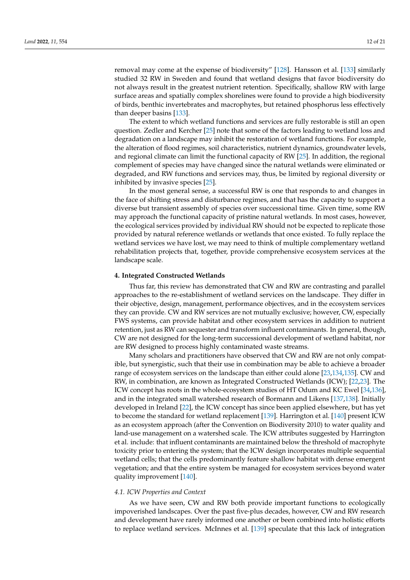removal may come at the expense of biodiversity" [\[128\]](#page-20-17). Hansson et al. [\[133\]](#page-20-22) similarly studied 32 RW in Sweden and found that wetland designs that favor biodiversity do not always result in the greatest nutrient retention. Specifically, shallow RW with large surface areas and spatially complex shorelines were found to provide a high biodiversity of birds, benthic invertebrates and macrophytes, but retained phosphorus less effectively than deeper basins [\[133\]](#page-20-22).

The extent to which wetland functions and services are fully restorable is still an open question. Zedler and Kercher [\[25\]](#page-17-2) note that some of the factors leading to wetland loss and degradation on a landscape may inhibit the restoration of wetland functions. For example, the alteration of flood regimes, soil characteristics, nutrient dynamics, groundwater levels, and regional climate can limit the functional capacity of RW [\[25\]](#page-17-2). In addition, the regional complement of species may have changed since the natural wetlands were eliminated or degraded, and RW functions and services may, thus, be limited by regional diversity or inhibited by invasive species [\[25\]](#page-17-2).

In the most general sense, a successful RW is one that responds to and changes in the face of shifting stress and disturbance regimes, and that has the capacity to support a diverse but transient assembly of species over successional time. Given time, some RW may approach the functional capacity of pristine natural wetlands. In most cases, however, the ecological services provided by individual RW should not be expected to replicate those provided by natural reference wetlands or wetlands that once existed. To fully replace the wetland services we have lost, we may need to think of multiple complementary wetland rehabilitation projects that, together, provide comprehensive ecosystem services at the landscape scale.

#### **4. Integrated Constructed Wetlands**

Thus far, this review has demonstrated that CW and RW are contrasting and parallel approaches to the re-establishment of wetland services on the landscape. They differ in their objective, design, management, performance objectives, and in the ecosystem services they can provide. CW and RW services are not mutually exclusive; however, CW, especially FWS systems, can provide habitat and other ecosystem services in addition to nutrient retention, just as RW can sequester and transform influent contaminants. In general, though, CW are not designed for the long-term successional development of wetland habitat, nor are RW designed to process highly contaminated waste streams.

Many scholars and practitioners have observed that CW and RW are not only compatible, but synergistic, such that their use in combination may be able to achieve a broader range of ecosystem services on the landscape than either could alone [\[23](#page-17-0)[,134,](#page-20-23)[135\]](#page-20-24). CW and RW, in combination, are known as Integrated Constructed Wetlands (ICW); [\[22](#page-16-19)[,23\]](#page-17-0). The ICW concept has roots in the whole-ecosystem studies of HT Odum and KC Ewel [\[34](#page-17-11)[,136\]](#page-20-25), and in the integrated small watershed research of Bormann and Likens [\[137](#page-20-26)[,138\]](#page-20-27). Initially developed in Ireland [\[22\]](#page-16-19), the ICW concept has since been applied elsewhere, but has yet to become the standard for wetland replacement [\[139\]](#page-20-28). Harrington et al. [\[140\]](#page-20-29) present ICW as an ecosystem approach (after the Convention on Biodiversity 2010) to water quality and land-use management on a watershed scale. The ICW attributes suggested by Harrington et al. include: that influent contaminants are maintained below the threshold of macrophyte toxicity prior to entering the system; that the ICW design incorporates multiple sequential wetland cells; that the cells predominantly feature shallow habitat with dense emergent vegetation; and that the entire system be managed for ecosystem services beyond water quality improvement [\[140\]](#page-20-29).

#### *4.1. ICW Properties and Context*

As we have seen, CW and RW both provide important functions to ecologically impoverished landscapes. Over the past five-plus decades, however, CW and RW research and development have rarely informed one another or been combined into holistic efforts to replace wetland services. McInnes et al. [\[139\]](#page-20-28) speculate that this lack of integration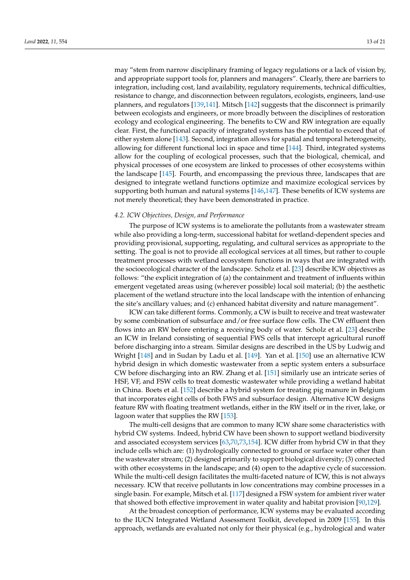may "stem from narrow disciplinary framing of legacy regulations or a lack of vision by, and appropriate support tools for, planners and managers". Clearly, there are barriers to integration, including cost, land availability, regulatory requirements, technical difficulties, resistance to change, and disconnection between regulators, ecologists, engineers, land-use planners, and regulators [\[139,](#page-20-28)[141\]](#page-21-0). Mitsch [\[142\]](#page-21-1) suggests that the disconnect is primarily between ecologists and engineers, or more broadly between the disciplines of restoration ecology and ecological engineering. The benefits to CW and RW integration are equally clear. First, the functional capacity of integrated systems has the potential to exceed that of either system alone [\[143\]](#page-21-2). Second, integration allows for spatial and temporal heterogeneity, allowing for different functional loci in space and time [\[144\]](#page-21-3). Third, integrated systems allow for the coupling of ecological processes, such that the biological, chemical, and physical processes of one ecosystem are linked to processes of other ecosystems within the landscape [\[145\]](#page-21-4). Fourth, and encompassing the previous three, landscapes that are designed to integrate wetland functions optimize and maximize ecological services by supporting both human and natural systems [\[146,](#page-21-5)[147\]](#page-21-6). These benefits of ICW systems are not merely theoretical; they have been demonstrated in practice.

#### *4.2. ICW Objectives, Design, and Performance*

The purpose of ICW systems is to ameliorate the pollutants from a wastewater stream while also providing a long-term, successional habitat for wetland-dependent species and providing provisional, supporting, regulating, and cultural services as appropriate to the setting. The goal is not to provide all ecological services at all times, but rather to couple treatment processes with wetland ecosystem functions in ways that are integrated with the socioecological character of the landscape. Scholz et al. [\[23\]](#page-17-0) describe ICW objectives as follows: "the explicit integration of (a) the containment and treatment of influents within emergent vegetated areas using (wherever possible) local soil material; (b) the aesthetic placement of the wetland structure into the local landscape with the intention of enhancing the site's ancillary values; and (c) enhanced habitat diversity and nature management".

ICW can take different forms. Commonly, a CW is built to receive and treat wastewater by some combination of subsurface and/or free surface flow cells. The CW effluent then flows into an RW before entering a receiving body of water. Scholz et al. [\[23\]](#page-17-0) describe an ICW in Ireland consisting of sequential FWS cells that intercept agricultural runoff before discharging into a stream. Similar designs are described in the US by Ludwig and Wright [\[148\]](#page-21-7) and in Sudan by Ladu et al. [\[149\]](#page-21-8). Yan et al. [\[150\]](#page-21-9) use an alternative ICW hybrid design in which domestic wastewater from a septic system enters a subsurface CW before discharging into an RW. Zhang et al. [\[151\]](#page-21-10) similarly use an intricate series of HSF, VF, and FSW cells to treat domestic wastewater while providing a wetland habitat in China. Boets et al. [\[152\]](#page-21-11) describe a hybrid system for treating pig manure in Belgium that incorporates eight cells of both FWS and subsurface design. Alternative ICW designs feature RW with floating treatment wetlands, either in the RW itself or in the river, lake, or lagoon water that supplies the RW [\[153\]](#page-21-12).

The multi-cell designs that are common to many ICW share some characteristics with hybrid CW systems. Indeed, hybrid CW have been shown to support wetland biodiversity and associated ecosystem services [\[63,](#page-18-11)[70](#page-18-18)[,73](#page-18-21)[,154\]](#page-21-13). ICW differ from hybrid CW in that they include cells which are: (1) hydrologically connected to ground or surface water other than the wastewater stream; (2) designed primarily to support biological diversity; (3) connected with other ecosystems in the landscape; and (4) open to the adaptive cycle of succession. While the multi-cell design facilitates the multi-faceted nature of ICW, this is not always necessary. ICW that receive pollutants in low concentrations may combine processes in a single basin. For example, Mitsch et al. [\[117\]](#page-20-6) designed a FSW system for ambient river water that showed both effective improvement in water quality and habitat provision [\[90,](#page-19-7)[129\]](#page-20-18).

At the broadest conception of performance, ICW systems may be evaluated according to the IUCN Integrated Wetland Assessment Toolkit, developed in 2009 [\[155\]](#page-21-14). In this approach, wetlands are evaluated not only for their physical (e.g., hydrological and water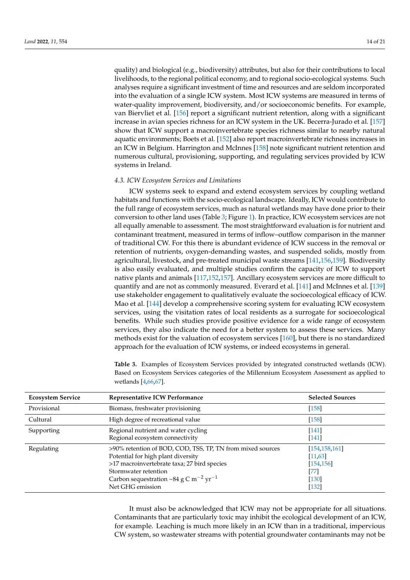quality) and biological (e.g., biodiversity) attributes, but also for their contributions to local livelihoods, to the regional political economy, and to regional socio-ecological systems. Such analyses require a significant investment of time and resources and are seldom incorporated into the evaluation of a single ICW system. Most ICW systems are measured in terms of water-quality improvement, biodiversity, and/or socioeconomic benefits. For example, van Biervliet et al. [\[156\]](#page-21-15) report a significant nutrient retention, along with a significant increase in avian species richness for an ICW system in the UK. Becerra-Jurado et al. [\[157\]](#page-21-16) show that ICW support a macroinvertebrate species richness similar to nearby natural aquatic environments; Boets et al. [\[152\]](#page-21-11) also report macroinvertebrate richness increases in an ICW in Belgium. Harrington and McInnes [\[158\]](#page-21-17) note significant nutrient retention and numerous cultural, provisioning, supporting, and regulating services provided by ICW systems in Ireland.

#### *4.3. ICW Ecosystem Services and Limitations*

ICW systems seek to expand and extend ecosystem services by coupling wetland habitats and functions with the socio-ecological landscape. Ideally, ICW would contribute to the full range of ecosystem services, much as natural wetlands may have done prior to their conversion to other land uses (Table [3;](#page-14-0) Figure [1\)](#page-7-0). In practice, ICW ecosystem services are not all equally amenable to assessment. The most straightforward evaluation is for nutrient and contaminant treatment, measured in terms of inflow–outflow comparison in the manner of traditional CW. For this there is abundant evidence of ICW success in the removal or retention of nutrients, oxygen-demanding wastes, and suspended solids, mostly from agricultural, livestock, and pre-treated municipal waste streams [\[141](#page-21-0)[,156,](#page-21-15)[159\]](#page-21-18). Biodiversity is also easily evaluated, and multiple studies confirm the capacity of ICW to support native plants and animals [\[117,](#page-20-6)[152,](#page-21-11)[157\]](#page-21-16). Ancillary ecosystem services are more difficult to quantify and are not as commonly measured. Everard et al. [\[141\]](#page-21-0) and McInnes et al. [\[139\]](#page-20-28) use stakeholder engagement to qualitatively evaluate the socioecological efficacy of ICW. Mao et al. [\[144\]](#page-21-3) develop a comprehensive scoring system for evaluating ICW ecosystem services, using the visitation rates of local residents as a surrogate for socioecological benefits. While such studies provide positive evidence for a wide range of ecosystem services, they also indicate the need for a better system to assess these services. Many methods exist for the valuation of ecosystem services [\[160\]](#page-21-19), but there is no standardized approach for the evaluation of ICW systems, or indeed ecosystems in general.

<span id="page-14-0"></span>

| <b>Table 3.</b> Examples of Ecosystem Services provided by integrated constructed wetlands (ICW). |
|---------------------------------------------------------------------------------------------------|
| Based on Ecosystem Services categories of the Millennium Ecosystem Assessment as applied to       |
| wetlands [4,66,67].                                                                               |

| <b>Ecosystem Service</b> | Representative ICW Performance                                                                                                                                                                                                                               | <b>Selected Sources</b>                                                 |  |
|--------------------------|--------------------------------------------------------------------------------------------------------------------------------------------------------------------------------------------------------------------------------------------------------------|-------------------------------------------------------------------------|--|
| Provisional              | Biomass, freshwater provisioning                                                                                                                                                                                                                             | $[158]$                                                                 |  |
| Cultural                 | High degree of recreational value                                                                                                                                                                                                                            | $[158]$                                                                 |  |
| Supporting               | Regional nutrient and water cycling<br>Regional ecosystem connectivity                                                                                                                                                                                       | $[141]$<br>[141]                                                        |  |
| Regulating               | >90% retention of BOD, COD, TSS, TP, TN from mixed sources<br>Potential for high plant diversity<br>>17 macroinvertebrate taxa; 27 bird species<br>Stormwater retention<br>Carbon sequestration ~84 g C m <sup>-2</sup> yr <sup>-1</sup><br>Net GHG emission | [154, 158, 161]<br>[11, 63]<br>[154, 156]<br>[77]<br>$[130]$<br>$[132]$ |  |

It must also be acknowledged that ICW may not be appropriate for all situations. Contaminants that are particularly toxic may inhibit the ecological development of an ICW, for example. Leaching is much more likely in an ICW than in a traditional, impervious CW system, so wastewater streams with potential groundwater contaminants may not be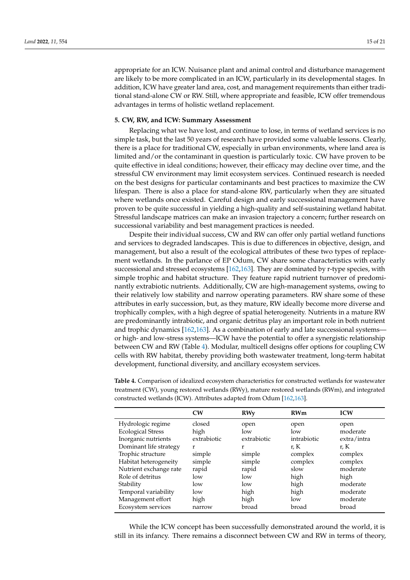appropriate for an ICW. Nuisance plant and animal control and disturbance management are likely to be more complicated in an ICW, particularly in its developmental stages. In addition, ICW have greater land area, cost, and management requirements than either traditional stand-alone CW or RW. Still, where appropriate and feasible, ICW offer tremendous advantages in terms of holistic wetland replacement.

#### **5. CW, RW, and ICW: Summary Assessment**

Replacing what we have lost, and continue to lose, in terms of wetland services is no simple task, but the last 50 years of research have provided some valuable lessons. Clearly, there is a place for traditional CW, especially in urban environments, where land area is limited and/or the contaminant in question is particularly toxic. CW have proven to be quite effective in ideal conditions; however, their efficacy may decline over time, and the stressful CW environment may limit ecosystem services. Continued research is needed on the best designs for particular contaminants and best practices to maximize the CW lifespan. There is also a place for stand-alone RW, particularly when they are situated where wetlands once existed. Careful design and early successional management have proven to be quite successful in yielding a high-quality and self-sustaining wetland habitat. Stressful landscape matrices can make an invasion trajectory a concern; further research on successional variability and best management practices is needed.

Despite their individual success, CW and RW can offer only partial wetland functions and services to degraded landscapes. This is due to differences in objective, design, and management, but also a result of the ecological attributes of these two types of replacement wetlands. In the parlance of EP Odum, CW share some characteristics with early successional and stressed ecosystems [\[162](#page-21-21)[,163\]](#page-21-22). They are dominated by r-type species, with simple trophic and habitat structure. They feature rapid nutrient turnover of predominantly extrabiotic nutrients. Additionally, CW are high-management systems, owing to their relatively low stability and narrow operating parameters. RW share some of these attributes in early succession, but, as they mature, RW ideally become more diverse and trophically complex, with a high degree of spatial heterogeneity. Nutrients in a mature RW are predominantly intrabiotic, and organic detritus play an important role in both nutrient and trophic dynamics [\[162](#page-21-21)[,163\]](#page-21-22). As a combination of early and late successional systems or high- and low-stress systems—ICW have the potential to offer a synergistic relationship between CW and RW (Table [4\)](#page-15-0). Modular, multicell designs offer options for coupling CW cells with RW habitat, thereby providing both wastewater treatment, long-term habitat development, functional diversity, and ancillary ecosystem services.

|                          | CW          | <b>RWy</b>  | <b>RWm</b>  | <b>ICW</b>  |
|--------------------------|-------------|-------------|-------------|-------------|
| Hydrologic regime        | closed      | open        | open        | open        |
| <b>Ecological Stress</b> | high        | low         | low         | moderate    |
| Inorganic nutrients      | extrabiotic | extrabiotic | intrabiotic | extra/intra |
| Dominant life strategy   | r           | r           | r, K        | r, K        |
| Trophic structure        | simple      | simple      | complex     | complex     |
| Habitat heterogeneity    | simple      | simple      | complex     | complex     |
| Nutrient exchange rate   | rapid       | rapid       | slow        | moderate    |
| Role of detritus         | low         | low         | high        | high        |
| Stability                | low         | low         | high        | moderate    |
| Temporal variability     | low         | high        | high        | moderate    |
| Management effort        | high        | high        | low         | moderate    |
| Ecosystem services       | narrow      | broad       | broad       | broad       |

<span id="page-15-0"></span>**Table 4.** Comparison of idealized ecosystem characteristics for constructed wetlands for wastewater treatment (CW), young restored wetlands (RWy), mature restored wetlands (RWm), and integrated constructed wetlands (ICW). Attributes adapted from Odum [\[162,](#page-21-21)[163\]](#page-21-22).

While the ICW concept has been successfully demonstrated around the world, it is still in its infancy. There remains a disconnect between CW and RW in terms of theory,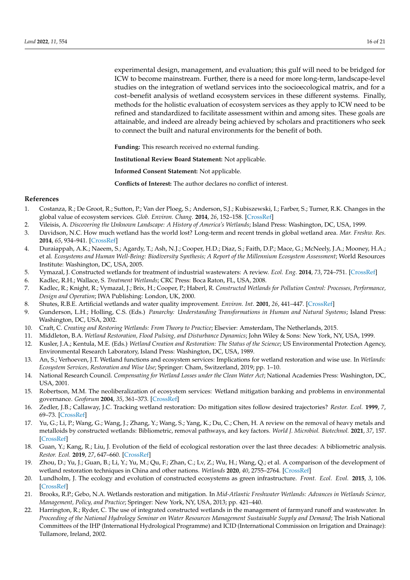experimental design, management, and evaluation; this gulf will need to be bridged for ICW to become mainstream. Further, there is a need for more long-term, landscape-level studies on the integration of wetland services into the socioecological matrix, and for a cost–benefit analysis of wetland ecosystem services in these different systems. Finally, methods for the holistic evaluation of ecosystem services as they apply to ICW need to be refined and standardized to facilitate assessment within and among sites. These goals are attainable, and indeed are already being achieved by scholars and practitioners who seek to connect the built and natural environments for the benefit of both.

**Funding:** This research received no external funding.

**Institutional Review Board Statement:** Not applicable.

**Informed Consent Statement:** Not applicable.

**Conflicts of Interest:** The author declares no conflict of interest.

#### **References**

- <span id="page-16-0"></span>1. Costanza, R.; De Groot, R.; Sutton, P.; Van der Ploeg, S.; Anderson, S.J.; Kubiszewski, I.; Farber, S.; Turner, R.K. Changes in the global value of ecosystem services. *Glob. Environ. Chang.* **2014**, *26*, 152–158. [\[CrossRef\]](http://doi.org/10.1016/j.gloenvcha.2014.04.002)
- <span id="page-16-1"></span>2. Vileisis, A. Discovering the Unknown Landscape: A History of America's Wetlands; Island Press: Washington, DC, USA, 1999.
- <span id="page-16-2"></span>3. Davidson, N.C. How much wetland has the world lost? Long-term and recent trends in global wetland area. *Mar. Freshw. Res.* **2014**, *65*, 934–941. [\[CrossRef\]](http://doi.org/10.1071/MF14173)
- <span id="page-16-3"></span>4. Duraiappah, A.K.; Naeem, S.; Agardy, T.; Ash, N.J.; Cooper, H.D.; Diaz, S.; Faith, D.P.; Mace, G.; McNeely, J.A.; Mooney, H.A.; et al. *Ecosystems and Human Well-Being: Biodiversity Synthesis; A Report of the Millennium Ecosystem Assessment*; World Resources Institute: Washington, DC, USA, 2005.
- <span id="page-16-4"></span>5. Vymazal, J. Constructed wetlands for treatment of industrial wastewaters: A review. *Ecol. Eng.* **2014**, *73*, 724–751. [\[CrossRef\]](http://doi.org/10.1016/j.ecoleng.2014.09.034)
- <span id="page-16-20"></span>6. Kadlec, R.H.; Wallace, S. *Treatment Wetlands*; CRC Press: Boca Raton, FL, USA, 2008.
- <span id="page-16-5"></span>7. Kadlec, R.; Knight, R.; Vymazal, J.; Brix, H.; Cooper, P.; Haberl, R. *Constructed Wetlands for Pollution Control: Processes, Performance, Design and Operation*; IWA Publishing: London, UK, 2000.
- <span id="page-16-6"></span>8. Shutes, R.B.E. Artificial wetlands and water quality improvement. *Environ. Int.* **2001**, *26*, 441–447. [\[CrossRef\]](http://doi.org/10.1016/S0160-4120(01)00025-3)
- <span id="page-16-7"></span>9. Gunderson, L.H.; Holling, C.S. (Eds.) *Panarchy: Understanding Transformations in Human and Natural Systems*; Island Press: Washington, DC, USA, 2002.
- <span id="page-16-8"></span>10. Craft, C. *Creating and Restoring Wetlands: From Theory to Practice*; Elsevier: Amsterdam, The Netherlands, 2015.
- <span id="page-16-21"></span>11. Middleton, B.A. *Wetland Restoration, Flood Pulsing, and Disturbance Dynamics*; John Wiley & Sons: New York, NY, USA, 1999.
- <span id="page-16-9"></span>12. Kusler, J.A.; Kentula, M.E. (Eds.) *Wetland Creation and Restoration: The Status of the Science*; US Environmental Protection Agency, Environmental Research Laboratory, Island Press: Washington, DC, USA, 1989.
- <span id="page-16-10"></span>13. An, S.; Verhoeven, J.T. Wetland functions and ecosystem services: Implications for wetland restoration and wise use. In *Wetlands: Ecosystem Services, Restoration and Wise Use*; Springer: Cham, Switzerland, 2019; pp. 1–10.
- <span id="page-16-11"></span>14. National Research Council. *Compensating for Wetland Losses under the Clean Water Act*; National Academies Press: Washington, DC, USA, 2001.
- <span id="page-16-12"></span>15. Robertson, M.M. The neoliberalization of ecosystem services: Wetland mitigation banking and problems in environmental governance. *Geoforum* **2004**, *35*, 361–373. [\[CrossRef\]](http://doi.org/10.1016/j.geoforum.2003.06.002)
- <span id="page-16-13"></span>16. Zedler, J.B.; Callaway, J.C. Tracking wetland restoration: Do mitigation sites follow desired trajectories? *Restor. Ecol.* **1999**, *7*, 69–73. [\[CrossRef\]](http://doi.org/10.1046/j.1526-100X.1999.07108.x)
- <span id="page-16-14"></span>17. Yu, G.; Li, P.; Wang, G.; Wang, J.; Zhang, Y.; Wang, S.; Yang, K.; Du, C.; Chen, H. A review on the removal of heavy metals and metalloids by constructed wetlands: Bibliometric, removal pathways, and key factors. *World J. Microbiol. Biotechnol.* **2021**, *37*, 157. [\[CrossRef\]](http://doi.org/10.1007/s11274-021-03123-1)
- <span id="page-16-15"></span>18. Guan, Y.; Kang, R.; Liu, J. Evolution of the field of ecological restoration over the last three decades: A bibliometric analysis. *Restor. Ecol.* **2019**, *27*, 647–660. [\[CrossRef\]](http://doi.org/10.1111/rec.12899)
- <span id="page-16-16"></span>19. Zhou, D.; Yu, J.; Guan, B.; Li, Y.; Yu, M.; Qu, F.; Zhan, C.; Lv, Z.; Wu, H.; Wang, Q.; et al. A comparison of the development of wetland restoration techniques in China and other nations. *Wetlands* **2020**, *40*, 2755–2764. [\[CrossRef\]](http://doi.org/10.1007/s13157-020-01305-5)
- <span id="page-16-17"></span>20. Lundholm, J. The ecology and evolution of constructed ecosystems as green infrastructure. *Front. Ecol. Evol.* **2015**, *3*, 106. [\[CrossRef\]](http://doi.org/10.3389/fevo.2015.00106)
- <span id="page-16-18"></span>21. Brooks, R.P.; Gebo, N.A. Wetlands restoration and mitigation. In *Mid-Atlantic Freshwater Wetlands: Advances in Wetlands Science, Management, Policy, and Practice*; Springer: New York, NY, USA, 2013; pp. 421–440.
- <span id="page-16-19"></span>22. Harrington, R.; Ryder, C. The use of integrated constructed wetlands in the management of farmyard runoff and wastewater. In *Proceeding of the National Hydrology Seminar on Water Resources Management Sustainable Supply and Demand*; The Irish National Committees of the IHP (International Hydrological Programme) and ICID (International Commission on Irrigation and Drainage): Tullamore, Ireland, 2002.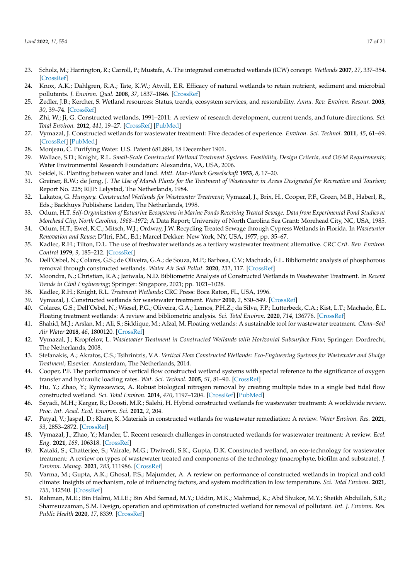- <span id="page-17-0"></span>23. Scholz, M.; Harrington, R.; Carroll, P.; Mustafa, A. The integrated constructed wetlands (ICW) concept. *Wetlands* **2007**, *27*, 337–354. [\[CrossRef\]](http://doi.org/10.1672/0277-5212(2007)27[337:TICWIC]2.0.CO;2)
- <span id="page-17-1"></span>24. Knox, A.K.; Dahlgren, R.A.; Tate, K.W.; Atwill, E.R. Efficacy of natural wetlands to retain nutrient, sediment and microbial pollutants. *J. Environ. Qual.* **2008**, *37*, 1837–1846. [\[CrossRef\]](http://doi.org/10.2134/jeq2007.0067)
- <span id="page-17-2"></span>25. Zedler, J.B.; Kercher, S. Wetland resources: Status, trends, ecosystem services, and restorability. *Annu. Rev. Environ. Resour.* **2005**, *30*, 39–74. [\[CrossRef\]](http://doi.org/10.1146/annurev.energy.30.050504.144248)
- <span id="page-17-3"></span>26. Zhi, W.; Ji, G. Constructed wetlands, 1991–2011: A review of research development, current trends, and future directions. *Sci. Total Environ.* **2012**, *441*, 19–27. [\[CrossRef\]](http://doi.org/10.1016/j.scitotenv.2012.09.064) [\[PubMed\]](http://www.ncbi.nlm.nih.gov/pubmed/23134766)
- <span id="page-17-4"></span>27. Vymazal, J. Constructed wetlands for wastewater treatment: Five decades of experience. *Environ. Sci. Technol.* **2011**, *45*, 61–69. [\[CrossRef\]](http://doi.org/10.1021/es101403q) [\[PubMed\]](http://www.ncbi.nlm.nih.gov/pubmed/20795704)
- <span id="page-17-5"></span>28. Monjeau, C. Purifying Water. U.S. Patent 681,884, 18 December 1901.
- <span id="page-17-6"></span>29. Wallace, S.D.; Knight, R.L. *Small-Scale Constructed Wetland Treatment Systems. Feasibility, Design Criteria, and O&M Requirements*; Water Environmental Research Foundation: Alexandria, VA, USA, 2006.
- <span id="page-17-7"></span>30. Seidel, K. Planting between water and land. *Mitt. Max-Planck Gesselschaft* **1953**, *8*, 17–20.
- <span id="page-17-8"></span>31. Greiner, R.W.; de Jong, J. *The Use of Marsh Plants for the Treatment of Wastewater in Areas Designated for Recreation and Tourism*; Report No. 225; RIJP: Lelystad, The Netherlands, 1984.
- <span id="page-17-9"></span>32. Lakatos, G. *Hungary. Constructed Wetlands for Wastewater Treatment*; Vymazal, J., Brix, H., Cooper, P.F., Green, M.B., Haberl, R., Eds.; Backhuys Publishers: Leiden, The Netherlands, 1998.
- <span id="page-17-10"></span>33. Odum, H.T. *Self-Organization of Estuarine Ecosystems in Marine Ponds Receiving Treated Sewage. Data from Experimental Pond Studies at Morehead City, North Carolina, 1968–1972*; A Data Report; University of North Carolina Sea Grant: Morehead City, NC, USA, 1985.
- <span id="page-17-11"></span>34. Odum, H.T.; Ewel, K.C.; Mitsch, W.J.; Ordway, J.W. Recycling Treated Sewage through Cypress Wetlands in Florida. In *Wastewater Renovation and Reuse*; D'Itri, F.M., Ed.; Marcel Dekker: New York, NY, USA, 1977; pp. 35–67.
- <span id="page-17-12"></span>35. Kadlec, R.H.; Tilton, D.L. The use of freshwater wetlands as a tertiary wastewater treatment alternative. *CRC Crit. Rev. Environ. Control* **1979**, *9*, 185–212. [\[CrossRef\]](http://doi.org/10.1080/10643387909381671)
- <span id="page-17-13"></span>36. Dell'Osbel, N.; Colares, G.S.; de Oliveira, G.A.; de Souza, M.P.; Barbosa, C.V.; Machado, Ê.L. Bibliometric analysis of phosphorous removal through constructed wetlands. *Water Air Soil Pollut.* **2020**, *231*, 117. [\[CrossRef\]](http://doi.org/10.1007/s11270-020-04513-1)
- <span id="page-17-14"></span>37. Moondra, N.; Christian, R.A.; Jariwala, N.D. Bibliometric Analysis of Constructed Wetlands in Wastewater Treatment. In *Recent Trends in Civil Engineering*; Springer: Singapore, 2021; pp. 1021–1028.
- <span id="page-17-15"></span>38. Kadlec, R.H.; Knight, R.L. *Treatment Wetlands*; CRC Press: Boca Raton, FL, USA, 1996.
- <span id="page-17-16"></span>39. Vymazal, J. Constructed wetlands for wastewater treatment. *Water* **2010**, *2*, 530–549. [\[CrossRef\]](http://doi.org/10.3390/w2030530)
- <span id="page-17-17"></span>40. Colares, G.S.; Dell'Osbel, N.; Wiesel, P.G.; Oliveira, G.A.; Lemos, P.H.Z.; da Silva, F.P.; Lutterbeck, C.A.; Kist, L.T.; Machado, Ê.L. Floating treatment wetlands: A review and bibliometric analysis. *Sci. Total Environ.* **2020**, *714*, 136776. [\[CrossRef\]](http://doi.org/10.1016/j.scitotenv.2020.136776)
- <span id="page-17-18"></span>41. Shahid, M.J.; Arslan, M.; Ali, S.; Siddique, M.; Afzal, M. Floating wetlands: A sustainable tool for wastewater treatment. *Clean–Soil Air Water* **2018**, *46*, 1800120. [\[CrossRef\]](http://doi.org/10.1002/clen.201800120)
- <span id="page-17-19"></span>42. Vymazal, J.; Kropfelov, L. *Wastewater Treatment in Constructed Wetlands with Horizontal Subsurface Flow*; Springer: Dordrecht, The Netherlands, 2008.
- <span id="page-17-20"></span>43. Stefanakis, A.; Akratos, C.S.; Tsihrintzis, V.A. *Vertical Flow Constructed Wetlands: Eco-Engineering Systems for Wastewater and Sludge Treatment*; Elsevier: Amsterdam, The Netherlands, 2014.
- <span id="page-17-21"></span>44. Cooper, P.F. The performance of vertical flow constructed wetland systems with special reference to the significance of oxygen transfer and hydraulic loading rates. *Wat. Sci. Technol.* **2005**, *51*, 81–90. [\[CrossRef\]](http://doi.org/10.2166/wst.2005.0293)
- <span id="page-17-22"></span>45. Hu, Y.; Zhao, Y.; Rymszewicz, A. Robust biological nitrogen removal by creating multiple tides in a single bed tidal flow constructed wetland. *Sci. Total Environ.* **2014**, *470*, 1197–1204. [\[CrossRef\]](http://doi.org/10.1016/j.scitotenv.2013.10.100) [\[PubMed\]](http://www.ncbi.nlm.nih.gov/pubmed/24246943)
- <span id="page-17-23"></span>46. Sayadi, M.H.; Kargar, R.; Doosti, M.R.; Salehi, H. Hybrid constructed wetlands for wastewater treatment: A worldwide review. *Proc. Int. Acad. Ecol. Environ. Sci.* **2012**, *2*, 204.
- <span id="page-17-24"></span>47. Patyal, V.; Jaspal, D.; Khare, K. Materials in constructed wetlands for wastewater remediation: A review. *Water Environ. Res.* **2021**, *93*, 2853–2872. [\[CrossRef\]](http://doi.org/10.1002/wer.1648)
- <span id="page-17-25"></span>48. Vymazal, J.; Zhao, Y.; Mander, Ü. Recent research challenges in constructed wetlands for wastewater treatment: A review. *Ecol. Eng.* **2021**, *169*, 106318. [\[CrossRef\]](http://doi.org/10.1016/j.ecoleng.2021.106318)
- <span id="page-17-26"></span>49. Kataki, S.; Chatterjee, S.; Vairale, M.G.; Dwivedi, S.K.; Gupta, D.K. Constructed wetland, an eco-technology for wastewater treatment: A review on types of wastewater treated and components of the technology (macrophyte, biofilm and substrate). *J. Environ. Manag.* **2021**, *283*, 111986. [\[CrossRef\]](http://doi.org/10.1016/j.jenvman.2021.111986)
- <span id="page-17-27"></span>50. Varma, M.; Gupta, A.K.; Ghosal, P.S.; Majumder, A. A review on performance of constructed wetlands in tropical and cold climate: Insights of mechanism, role of influencing factors, and system modification in low temperature. *Sci. Total Environ.* **2021**, *755*, 142540. [\[CrossRef\]](http://doi.org/10.1016/j.scitotenv.2020.142540)
- <span id="page-17-28"></span>51. Rahman, M.E.; Bin Halmi, M.I.E.; Bin Abd Samad, M.Y.; Uddin, M.K.; Mahmud, K.; Abd Shukor, M.Y.; Sheikh Abdullah, S.R.; Shamsuzzaman, S.M. Design, operation and optimization of constructed wetland for removal of pollutant. *Int. J. Environ. Res. Public Health* **2020**, *17*, 8339. [\[CrossRef\]](http://doi.org/10.3390/ijerph17228339)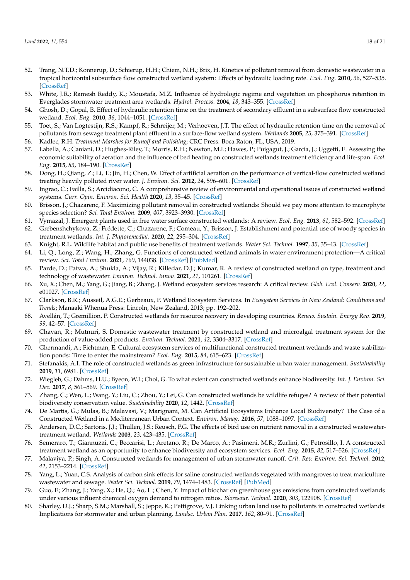- <span id="page-18-0"></span>52. Trang, N.T.D.; Konnerup, D.; Schierup, H.H.; Chiem, N.H.; Brix, H. Kinetics of pollutant removal from domestic wastewater in a tropical horizontal subsurface flow constructed wetland system: Effects of hydraulic loading rate. *Ecol. Eng.* **2010**, *36*, 527–535. [\[CrossRef\]](http://doi.org/10.1016/j.ecoleng.2009.11.022)
- <span id="page-18-1"></span>53. White, J.R.; Ramesh Reddy, K.; Moustafa, M.Z. Influence of hydrologic regime and vegetation on phosphorus retention in Everglades stormwater treatment area wetlands. *Hydrol. Process.* **2004**, *18*, 343–355. [\[CrossRef\]](http://doi.org/10.1002/hyp.1379)
- <span id="page-18-2"></span>54. Ghosh, D.; Gopal, B. Effect of hydraulic retention time on the treatment of secondary effluent in a subsurface flow constructed wetland. *Ecol. Eng.* **2010**, *36*, 1044–1051. [\[CrossRef\]](http://doi.org/10.1016/j.ecoleng.2010.04.017)
- <span id="page-18-3"></span>55. Toet, S.; Van Logtestijn, R.S.; Kampf, R.; Schreijer, M.; Verhoeven, J.T. The effect of hydraulic retention time on the removal of pollutants from sewage treatment plant effluent in a surface-flow wetland system. *Wetlands* **2005**, *25*, 375–391. [\[CrossRef\]](http://doi.org/10.1672/13)
- <span id="page-18-5"></span><span id="page-18-4"></span>56. Kadlec, R.H. *Treatment Marshes for Runoff and Polishing*; CRC Press: Boca Raton, FL, USA, 2019. 57. Labella, A.; Caniani, D.; Hughes-Riley, T.; Morris, R.H.; Newton, M.I.; Hawes, P.; Puigagut, J.; García, J.; Uggetti, E. Assessing the
- economic suitability of aeration and the influence of bed heating on constructed wetlands treatment efficiency and life-span. *Ecol. Eng.* **2015**, *83*, 184–190. [\[CrossRef\]](http://doi.org/10.1016/j.ecoleng.2015.06.028)
- <span id="page-18-6"></span>58. Dong, H.; Qiang, Z.; Li, T.; Jin, H.; Chen, W. Effect of artificial aeration on the performance of vertical-flow constructed wetland treating heavily polluted river water. *J. Environ. Sci.* **2012**, *24*, 596–601. [\[CrossRef\]](http://doi.org/10.1016/S1001-0742(11)60804-8)
- <span id="page-18-7"></span>59. Ingrao, C.; Failla, S.; Arcidiacono, C. A comprehensive review of environmental and operational issues of constructed wetland systems. *Curr. Opin. Environ. Sci. Health* **2020**, *13*, 35–45. [\[CrossRef\]](http://doi.org/10.1016/j.coesh.2019.10.007)
- <span id="page-18-8"></span>60. Brisson, J.; Chazarenc, F. Maximizing pollutant removal in constructed wetlands: Should we pay more attention to macrophyte species selection? *Sci. Total Environ.* **2009**, *407*, 3923–3930. [\[CrossRef\]](http://doi.org/10.1016/j.scitotenv.2008.05.047)
- <span id="page-18-9"></span>61. Vymazal, J. Emergent plants used in free water surface constructed wetlands: A review. *Ecol. Eng.* **2013**, *61*, 582–592. [\[CrossRef\]](http://doi.org/10.1016/j.ecoleng.2013.06.023)
- <span id="page-18-10"></span>62. Grebenshchykova, Z.; Frédette, C.; Chazarenc, F.; Comeau, Y.; Brisson, J. Establishment and potential use of woody species in treatment wetlands. *Int. J. Phytoremediat.* **2020**, *22*, 295–304. [\[CrossRef\]](http://doi.org/10.1080/15226514.2019.1658712)
- <span id="page-18-11"></span>63. Knight, R.L. Wildlife habitat and public use benefits of treatment wetlands. *Water Sci. Technol.* **1997**, *35*, 35–43. [\[CrossRef\]](http://doi.org/10.2166/wst.1997.0159)
- <span id="page-18-12"></span>64. Li, Q.; Long, Z.; Wang, H.; Zhang, G. Functions of constructed wetland animals in water environment protection—A critical review. *Sci. Total Environ.* **2021**, *760*, 144038. [\[CrossRef\]](http://doi.org/10.1016/j.scitotenv.2020.144038) [\[PubMed\]](http://www.ncbi.nlm.nih.gov/pubmed/33348153)
- <span id="page-18-13"></span>65. Parde, D.; Patwa, A.; Shukla, A.; Vijay, R.; Killedar, D.J.; Kumar, R. A review of constructed wetland on type, treatment and technology of wastewater. *Environ. Technol. Innov.* **2021**, *21*, 101261. [\[CrossRef\]](http://doi.org/10.1016/j.eti.2020.101261)
- <span id="page-18-14"></span>66. Xu, X.; Chen, M.; Yang, G.; Jiang, B.; Zhang, J. Wetland ecosystem services research: A critical review. *Glob. Ecol. Conserv.* **2020**, *22*, e01027. [\[CrossRef\]](http://doi.org/10.1016/j.gecco.2020.e01027)
- <span id="page-18-15"></span>67. Clarkson, B.R.; Ausseil, A.G.E.; Gerbeaux, P. Wetland Ecosystem Services. In *Ecosystem Services in New Zealand: Conditions and Trends*; Manaaki Whenua Press: Lincoln, New Zealand, 2013; pp. 192–202.
- <span id="page-18-16"></span>68. Avellán, T.; Gremillion, P. Constructed wetlands for resource recovery in developing countries. *Renew. Sustain. Energy Rev.* **2019**, *99*, 42–57. [\[CrossRef\]](http://doi.org/10.1016/j.rser.2018.09.024)
- <span id="page-18-17"></span>69. Chavan, R.; Mutnuri, S. Domestic wastewater treatment by constructed wetland and microalgal treatment system for the production of value-added products. *Environ. Technol.* **2021**, *42*, 3304–3317. [\[CrossRef\]](http://doi.org/10.1080/09593330.2020.1726471)
- <span id="page-18-18"></span>70. Ghermandi, A.; Fichtman, E. Cultural ecosystem services of multifunctional constructed treatment wetlands and waste stabilization ponds: Time to enter the mainstream? *Ecol. Eng.* **2015**, *84*, 615–623. [\[CrossRef\]](http://doi.org/10.1016/j.ecoleng.2015.09.067)
- <span id="page-18-19"></span>71. Stefanakis, A.I. The role of constructed wetlands as green infrastructure for sustainable urban water management. *Sustainability* **2019**, *11*, 6981. [\[CrossRef\]](http://doi.org/10.3390/su11246981)
- <span id="page-18-20"></span>72. Wiegleb, G.; Dahms, H.U.; Byeon, W.I.; Choi, G. To what extent can constructed wetlands enhance biodiversity. *Int. J. Environ. Sci. Dev.* **2017**, *8*, 561–569. [\[CrossRef\]](http://doi.org/10.18178/ijesd.2017.8.8.1016)
- <span id="page-18-21"></span>73. Zhang, C.; Wen, L.; Wang, Y.; Liu, C.; Zhou, Y.; Lei, G. Can constructed wetlands be wildlife refuges? A review of their potential biodiversity conservation value. *Sustainability* **2020**, *12*, 1442. [\[CrossRef\]](http://doi.org/10.3390/su12041442)
- <span id="page-18-27"></span>74. De Martis, G.; Mulas, B.; Malavasi, V.; Marignani, M. Can Artificial Ecosystems Enhance Local Biodiversity? The Case of a Constructed Wetland in a Mediterranean Urban Context. *Environ. Manag.* **2016**, *57*, 1088–1097. [\[CrossRef\]](http://doi.org/10.1007/s00267-016-0668-4)
- 75. Andersen, D.C.; Sartoris, J.J.; Thullen, J.S.; Reusch, P.G. The effects of bird use on nutrient removal in a constructed wastewatertreatment wetland. *Wetlands* **2003**, *23*, 423–435. [\[CrossRef\]](http://doi.org/10.1672/17-20)
- <span id="page-18-22"></span>76. Semeraro, T.; Giannuzzi, C.; Beccarisi, L.; Aretano, R.; De Marco, A.; Pasimeni, M.R.; Zurlini, G.; Petrosillo, I. A constructed treatment wetland as an opportunity to enhance biodiversity and ecosystem services. *Ecol. Eng.* **2015**, *82*, 517–526. [\[CrossRef\]](http://doi.org/10.1016/j.ecoleng.2015.05.042)
- <span id="page-18-23"></span>77. Malaviya, P.; Singh, A. Constructed wetlands for management of urban stormwater runoff. *Crit. Rev. Environ. Sci. Technol.* **2012**, *42*, 2153–2214. [\[CrossRef\]](http://doi.org/10.1080/10643389.2011.574107)
- <span id="page-18-24"></span>78. Yang, L.; Yuan, C.S. Analysis of carbon sink effects for saline constructed wetlands vegetated with mangroves to treat mariculture wastewater and sewage. *Water Sci. Technol.* **2019**, *79*, 1474–1483. [\[CrossRef\]](http://doi.org/10.2166/wst.2019.145) [\[PubMed\]](http://www.ncbi.nlm.nih.gov/pubmed/31169505)
- <span id="page-18-25"></span>79. Guo, F.; Zhang, J.; Yang, X.; He, Q.; Ao, L.; Chen, Y. Impact of biochar on greenhouse gas emissions from constructed wetlands under various influent chemical oxygen demand to nitrogen ratios. *Bioresour. Technol.* **2020**, *303*, 122908. [\[CrossRef\]](http://doi.org/10.1016/j.biortech.2020.122908)
- <span id="page-18-26"></span>80. Sharley, D.J.; Sharp, S.M.; Marshall, S.; Jeppe, K.; Pettigrove, V.J. Linking urban land use to pollutants in constructed wetlands: Implications for stormwater and urban planning. *Landsc. Urban Plan.* **2017**, *162*, 80–91. [\[CrossRef\]](http://doi.org/10.1016/j.landurbplan.2016.12.016)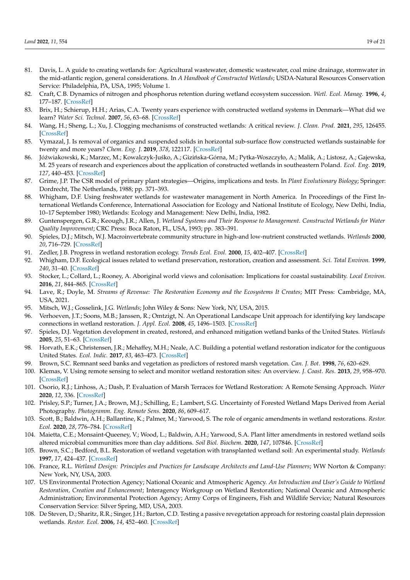- 81. Davis, L. A guide to creating wetlands for: Agricultural wastewater, domestic wastewater, coal mine drainage, stormwater in the mid-atlantic region, general considerations. In *A Handbook of Constructed Wetlands*; USDA-Natural Resources Conservation Service: Philadelphia, PA, USA, 1995; Volume 1.
- 82. Craft, C.B. Dynamics of nitrogen and phosphorus retention during wetland ecosystem succession. *Wetl. Ecol. Manag.* **1996**, *4*, 177–187. [\[CrossRef\]](http://doi.org/10.1007/BF01879236)
- <span id="page-19-0"></span>83. Brix, H.; Schierup, H.H.; Arias, C.A. Twenty years experience with constructed wetland systems in Denmark—What did we learn? *Water Sci. Technol.* **2007**, *56*, 63–68. [\[CrossRef\]](http://doi.org/10.2166/wst.2007.522)
- <span id="page-19-1"></span>84. Wang, H.; Sheng, L.; Xu, J. Clogging mechanisms of constructed wetlands: A critical review. *J. Clean. Prod.* **2021**, *295*, 126455. [\[CrossRef\]](http://doi.org/10.1016/j.jclepro.2021.126455)
- <span id="page-19-2"></span>85. Vymazal, J. Is removal of organics and suspended solids in horizontal sub-surface flow constructed wetlands sustainable for twenty and more years? *Chem. Eng. J.* **2019**, *378*, 122117. [\[CrossRef\]](http://doi.org/10.1016/j.cej.2019.122117)
- <span id="page-19-3"></span>86. Jóźwiakowski, K.; Marzec, M.; Kowalczyk-Juśko, A.; Gizińska-Górna, M.; Pytka-Woszczyło, A.; Malik, A.; Listosz, A.; Gajewska, M. 25 years of research and experiences about the application of constructed wetlands in southeastern Poland. *Ecol. Eng.* **2019**, *127*, 440–453. [\[CrossRef\]](http://doi.org/10.1016/j.ecoleng.2018.12.013)
- <span id="page-19-4"></span>87. Grime, J.P. The CSR model of primary plant strategies—Origins, implications and tests. In *Plant Evolutionary Biology*; Springer: Dordrecht, The Netherlands, 1988; pp. 371–393.
- <span id="page-19-5"></span>88. Whigham, D.F. Using freshwater wetlands for wastewater management in North America. In Proceedings of the First International Wetlands Conference, International Association for Ecology and National Institute of Ecology, New Delhi, India, 10–17 September 1980; Wetlands: Ecology and Management: New Delhi, India, 1982.
- <span id="page-19-6"></span>89. Guntenspergen, G.R.; Keough, J.R.; Allen, J. *Wetland Systems and Their Response to Management. Constructed Wetlands for Water Quality Improvement*; CRC Press: Boca Raton, FL, USA, 1993; pp. 383–391.
- <span id="page-19-7"></span>90. Spieles, D.J.; Mitsch, W.J. Macroinvertebrate community structure in high-and low-nutrient constructed wetlands. *Wetlands* **2000**, *20*, 716–729. [\[CrossRef\]](http://doi.org/10.1672/0277-5212(2000)020[0716:MCSIHA]2.0.CO;2)
- <span id="page-19-8"></span>91. Zedler, J.B. Progress in wetland restoration ecology. *Trends Ecol. Evol.* **2000**, *15*, 402–407. [\[CrossRef\]](http://doi.org/10.1016/S0169-5347(00)01959-5)
- <span id="page-19-9"></span>92. Whigham, D.F. Ecological issues related to wetland preservation, restoration, creation and assessment. *Sci. Total Environ.* **1999**, *240*, 31–40. [\[CrossRef\]](http://doi.org/10.1016/S0048-9697(99)00321-6)
- <span id="page-19-10"></span>93. Stocker, L.; Collard, L.; Rooney, A. Aboriginal world views and colonisation: Implications for coastal sustainability. *Local Environ.* **2016**, *21*, 844–865. [\[CrossRef\]](http://doi.org/10.1080/13549839.2015.1036414)
- <span id="page-19-11"></span>94. Lave, R.; Doyle, M. *Streams of Revenue: The Restoration Economy and the Ecosystems It Creates*; MIT Press: Cambridge, MA, USA, 2021.
- <span id="page-19-12"></span>95. Mitsch, W.J.; Gosselink, J.G. *Wetlands*; John Wiley & Sons: New York, NY, USA, 2015.
- <span id="page-19-13"></span>96. Verhoeven, J.T.; Soons, M.B.; Janssen, R.; Omtzigt, N. An Operational Landscape Unit approach for identifying key landscape connections in wetland restoration. *J. Appl. Ecol.* **2008**, *45*, 1496–1503. [\[CrossRef\]](http://doi.org/10.1111/j.1365-2664.2008.01534.x)
- <span id="page-19-14"></span>97. Spieles, D.J. Vegetation development in created, restored, and enhanced mitigation wetland banks of the United States. *Wetlands* **2005**, *25*, 51–63. [\[CrossRef\]](http://doi.org/10.1672/0277-5212(2005)025[0051:VDICRA]2.0.CO;2)
- <span id="page-19-15"></span>98. Horvath, E.K.; Christensen, J.R.; Mehaffey, M.H.; Neale, A.C. Building a potential wetland restoration indicator for the contiguous United States. *Ecol. Indic.* **2017**, *83*, 463–473. [\[CrossRef\]](http://doi.org/10.1016/j.ecolind.2017.07.026)
- <span id="page-19-16"></span>99. Brown, S.C. Remnant seed banks and vegetation as predictors of restored marsh vegetation. *Can. J. Bot.* **1998**, *76*, 620–629.
- <span id="page-19-17"></span>100. Klemas, V. Using remote sensing to select and monitor wetland restoration sites: An overview. *J. Coast. Res.* **2013**, *29*, 958–970. [\[CrossRef\]](http://doi.org/10.2112/JCOASTRES-D-12-00170.1)
- 101. Osorio, R.J.; Linhoss, A.; Dash, P. Evaluation of Marsh Terraces for Wetland Restoration: A Remote Sensing Approach. *Water* **2020**, *12*, 336. [\[CrossRef\]](http://doi.org/10.3390/w12020336)
- <span id="page-19-18"></span>102. Prisley, S.P.; Turner, J.A.; Brown, M.J.; Schilling, E.; Lambert, S.G. Uncertainty of Forested Wetland Maps Derived from Aerial Photography. *Photogramm. Eng. Remote Sens.* **2020**, *86*, 609–617.
- <span id="page-19-19"></span>103. Scott, B.; Baldwin, A.H.; Ballantine, K.; Palmer, M.; Yarwood, S. The role of organic amendments in wetland restorations. *Restor. Ecol.* **2020**, *28*, 776–784. [\[CrossRef\]](http://doi.org/10.1111/rec.13179)
- <span id="page-19-20"></span>104. Maietta, C.E.; Monsaint-Queeney, V.; Wood, L.; Baldwin, A.H.; Yarwood, S.A. Plant litter amendments in restored wetland soils altered microbial communities more than clay additions. *Soil Biol. Biochem.* **2020**, *147*, 107846. [\[CrossRef\]](http://doi.org/10.1016/j.soilbio.2020.107846)
- <span id="page-19-21"></span>105. Brown, S.C.; Bedford, B.L. Restoration of wetland vegetation with transplanted wetland soil: An experimental study. *Wetlands* **1997**, *17*, 424–437. [\[CrossRef\]](http://doi.org/10.1007/BF03161432)
- <span id="page-19-22"></span>106. France, R.L. *Wetland Design: Principles and Practices for Landscape Architects and Land-Use Planners*; WW Norton & Company: New York, NY, USA, 2003.
- <span id="page-19-23"></span>107. US Environmental Protection Agency; National Oceanic and Atmospheric Agency. *An Introduction and User's Guide to Wetland Restoration, Creation and Enhancement*; Interagency Workgroup on Wetland Restoration; National Oceanic and Atmospheric Administration; Environmental Protection Agency; Army Corps of Engineers, Fish and Wildlife Service; Natural Resources Conservation Service: Silver Spring, MD, USA, 2003.
- <span id="page-19-24"></span>108. De Steven, D.; Sharitz, R.R.; Singer, J.H.; Barton, C.D. Testing a passive revegetation approach for restoring coastal plain depression wetlands. *Restor. Ecol.* **2006**, *14*, 452–460. [\[CrossRef\]](http://doi.org/10.1111/j.1526-100X.2006.00153.x)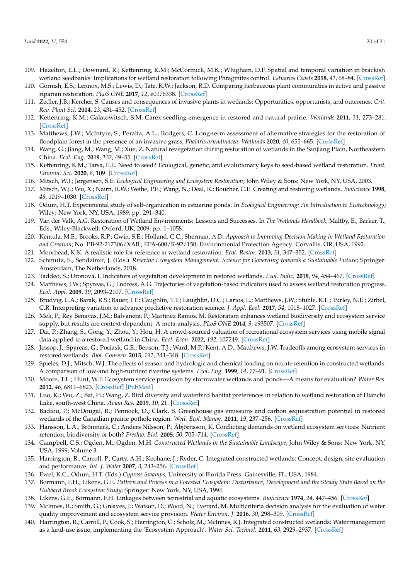- 109. Hazelton, E.L.; Downard, R.; Kettenring, K.M.; McCormick, M.K.; Whigham, D.F. Spatial and temporal variation in brackish wetland seedbanks: Implications for wetland restoration following Phragmites control. *Estuaries Coasts* **2018**, *41*, 68–84. [\[CrossRef\]](http://doi.org/10.1007/s12237-017-0289-z)
- <span id="page-20-0"></span>110. Gornish, E.S.; Lennox, M.S.; Lewis, D.; Tate, K.W.; Jackson, R.D. Comparing herbaceous plant communities in active and passive riparian restoration. *PLoS ONE* **2017**, *12*, e0176338. [\[CrossRef\]](http://doi.org/10.1371/journal.pone.0176338)
- <span id="page-20-1"></span>111. Zedler, J.B.; Kercher, S. Causes and consequences of invasive plants in wetlands: Opportunities, opportunists, and outcomes. *Crit. Rev. Plant Sci.* **2004**, *23*, 431–452. [\[CrossRef\]](http://doi.org/10.1080/07352680490514673)
- <span id="page-20-2"></span>112. Kettenring, K.M.; Galatowitsch, S.M. Carex seedling emergence in restored and natural prairie. *Wetlands* **2011**, *31*, 273–281. [\[CrossRef\]](http://doi.org/10.1007/s13157-011-0160-0)
- 113. Matthews, J.W.; McIntyre, S.; Peralta, A.L.; Rodgers, C. Long-term assessment of alternative strategies for the restoration of floodplain forest in the presence of an invasive grass, *Phalaris arundinacea*. *Wetlands* **2020**, *40*, 655–665. [\[CrossRef\]](http://doi.org/10.1007/s13157-019-01204-4)
- <span id="page-20-3"></span>114. Wang, G.; Jiang, M.; Wang, M.; Xue, Z. Natural revegetation during restoration of wetlands in the Sanjiang Plain, Northeastern China. *Ecol. Eng.* **2019**, *132*, 49–55. [\[CrossRef\]](http://doi.org/10.1016/j.ecoleng.2019.04.001)
- <span id="page-20-4"></span>115. Kettenring, K.M.; Tarsa, E.E. Need to seed? Ecological, genetic, and evolutionary keys to seed-based wetland restoration. *Front. Environ. Sci.* **2020**, *8*, 109. [\[CrossRef\]](http://doi.org/10.3389/fenvs.2020.00109)
- <span id="page-20-5"></span>116. Mitsch, W.J.; Jørgensen, S.E. *Ecological Engineering and Ecosystem Restoration*; John Wiley & Sons: New York, NY, USA, 2003.
- <span id="page-20-6"></span>117. Mitsch, W.J.; Wu, X.; Nairn, R.W.; Weihe, P.E.; Wang, N.; Deal, R.; Boucher, C.E. Creating and restoring wetlands. *BioScience* **1998**, *48*, 1019–1030. [\[CrossRef\]](http://doi.org/10.2307/1313458)
- <span id="page-20-7"></span>118. Odum, H.T. Experimental study of self-organization in estuarine ponds. In *Ecological Engineering: An Introduction to Ecotechnology*; Wiley: New York, NY, USA, 1989; pp. 291–340.
- <span id="page-20-8"></span>119. Van der Valk, A.G. Restoration of Wetland Environments: Lessons and Successes. In *The Wetlands Handbook*; Maltby, E., Barker, T., Eds.; Wiley-Blackwell: Oxford, UK, 2009; pp. 1–1058.
- <span id="page-20-9"></span>120. Kentula, M.E.; Brooks, R.P.; Gwin, S.E.; Holland, C.C.; Sherman, A.D. *Approach to Improving Decision Making in Wetland Restoration and Creation*; No. PB-92-217306/XAB.; EPA-600/R-92/150; Environmental Protection Agency: Corvallis, OR, USA, 1992.
- <span id="page-20-10"></span>121. Moorhead, K.K. A realistic role for reference in wetland restoration. *Ecol. Restor.* **2013**, *31*, 347–352. [\[CrossRef\]](http://doi.org/10.3368/er.31.4.347)
- <span id="page-20-11"></span>122. Schmutz, S.; Sendzimir, J. (Eds.) *Riverine Ecosystem Management: Science for Governing towards a Sustainable Future*; Springer: Amsterdam, The Netherlands, 2018.
- <span id="page-20-12"></span>123. Taddeo, S.; Dronova, I. Indicators of vegetation development in restored wetlands. *Ecol. Indic.* **2018**, *94*, 454–467. [\[CrossRef\]](http://doi.org/10.1016/j.ecolind.2018.07.010)
- <span id="page-20-13"></span>124. Matthews, J.W.; Spyreas, G.; Endress, A.G. Trajectories of vegetation-based indicators used to assess wetland restoration progress. *Ecol. Appl.* **2009**, *19*, 2093–2107. [\[CrossRef\]](http://doi.org/10.1890/08-1371.1)
- <span id="page-20-14"></span>125. Brudvig, L.A.; Barak, R.S.; Bauer, J.T.; Caughlin, T.T.; Laughlin, D.C.; Larios, L.; Matthews, J.W.; Stuble, K.L.; Turley, N.E.; Zirbel, C.R. Interpreting variation to advance predictive restoration science. *J. Appl. Ecol.* **2017**, *54*, 1018–1027. [\[CrossRef\]](http://doi.org/10.1111/1365-2664.12938)
- <span id="page-20-15"></span>126. Meli, P.; Rey Benayas, J.M.; Balvanera, P.; Martínez Ramos, M. Restoration enhances wetland biodiversity and ecosystem service supply, but results are context-dependent: A meta-analysis. *PLoS ONE* **2014**, *9*, e93507. [\[CrossRef\]](http://doi.org/10.1371/journal.pone.0093507)
- <span id="page-20-16"></span>127. Dai, P.; Zhang, S.; Gong, Y.; Zhou, Y.; Hou, H. A crowd-sourced valuation of recreational ecosystem services using mobile signal data applied to a restored wetland in China. *Ecol. Econ.* **2022**, *192*, 107249. [\[CrossRef\]](http://doi.org/10.1016/j.ecolecon.2021.107249)
- <span id="page-20-17"></span>128. Jessop, J.; Spyreas, G.; Pociask, G.E.; Benson, T.J.; Ward, M.P.; Kent, A.D.; Matthews, J.W. Tradeoffs among ecosystem services in restored wetlands. *Biol. Conserv.* **2015**, *191*, 341–348. [\[CrossRef\]](http://doi.org/10.1016/j.biocon.2015.07.006)
- <span id="page-20-18"></span>129. Spieles, D.J.; Mitsch, W.J. The effects of season and hydrologic and chemical loading on nitrate retention in constructed wetlands: A comparison of low-and high-nutrient riverine systems. *Ecol. Eng.* **1999**, *14*, 77–91. [\[CrossRef\]](http://doi.org/10.1016/S0925-8574(99)00021-X)
- <span id="page-20-19"></span>130. Moore, T.L.; Hunt, W.F. Ecosystem service provision by stormwater wetlands and ponds—A means for evaluation? *Water Res.* **2012**, *46*, 6811–6823. [\[CrossRef\]](http://doi.org/10.1016/j.watres.2011.11.026) [\[PubMed\]](http://www.ncbi.nlm.nih.gov/pubmed/22178306)
- <span id="page-20-20"></span>131. Luo, K.; Wu, Z.; Bai, H.; Wang, Z. Bird diversity and waterbird habitat preferences in relation to wetland restoration at Dianchi Lake, south-west China. *Avian Res.* **2019**, *10*, 21. [\[CrossRef\]](http://doi.org/10.1186/s40657-019-0162-9)
- <span id="page-20-21"></span>132. Badiou, P.; McDougal, R.; Pennock, D.; Clark, B. Greenhouse gas emissions and carbon sequestration potential in restored wetlands of the Canadian prairie pothole region. *Wetl. Ecol. Manag.* **2011**, *19*, 237–256. [\[CrossRef\]](http://doi.org/10.1007/s11273-011-9214-6)
- <span id="page-20-22"></span>133. Hansson, L.A.; Brönmark, C.; Anders Nilsson, P.; Åbjörnsson, K. Conflicting demands on wetland ecosystem services: Nutrient retention, biodiversity or both? *Freshw. Biol.* **2005**, *50*, 705–714. [\[CrossRef\]](http://doi.org/10.1111/j.1365-2427.2005.01352.x)
- <span id="page-20-23"></span>134. Campbell, C.S.; Ogden, M.; Ogden, M.H. *Constructed Wetlands in the Sustainable Landscape*; John Wiley & Sons: New York, NY, USA, 1999; Volume 3.
- <span id="page-20-24"></span>135. Harrington, R.; Carroll, P.; Carty, A.H.; Keohane, J.; Ryder, C. Integrated constructed wetlands: Concept, design, site evaluation and performance. *Int. J. Water* **2007**, *3*, 243–256. [\[CrossRef\]](http://doi.org/10.1504/IJW.2007.015217)
- <span id="page-20-25"></span>136. Ewel, K.C.; Odum, H.T. (Eds.) *Cypress Swamps*; University of Florida Press: Gainesville, FL, USA, 1984.
- <span id="page-20-26"></span>137. Bormann, F.H.; Likens, G.E. *Pattern and Process in a Forested Ecosystem: Disturbance, Development and the Steady State Based on the Hubbard Brook Ecosystem Study*; Springer: New York, NY, USA, 1994.
- <span id="page-20-28"></span><span id="page-20-27"></span>138. Likens, G.E.; Bormann, F.H. Linkages between terrestrial and aquatic ecosystems. *BioScience* **1974**, *24*, 447–456. [\[CrossRef\]](http://doi.org/10.2307/1296852)
- 139. McInnes, R.; Smith, G.; Greaves, J.; Watson, D.; Wood, N.; Everard, M. Multicriteria decision analysis for the evaluation of water quality improvement and ecosystem service provision. *Water Environ. J.* **2016**, *30*, 298–309. [\[CrossRef\]](http://doi.org/10.1111/wej.12195)
- <span id="page-20-29"></span>140. Harrington, R.; Carroll, P.; Cook, S.; Harrington, C.; Scholz, M.; McInnes, R.J. Integrated constructed wetlands: Water management as a land-use issue, implementing the 'Ecosystem Approach'. *Water Sci. Technol.* **2011**, *63*, 2929–2937. [\[CrossRef\]](http://doi.org/10.2166/wst.2011.591)